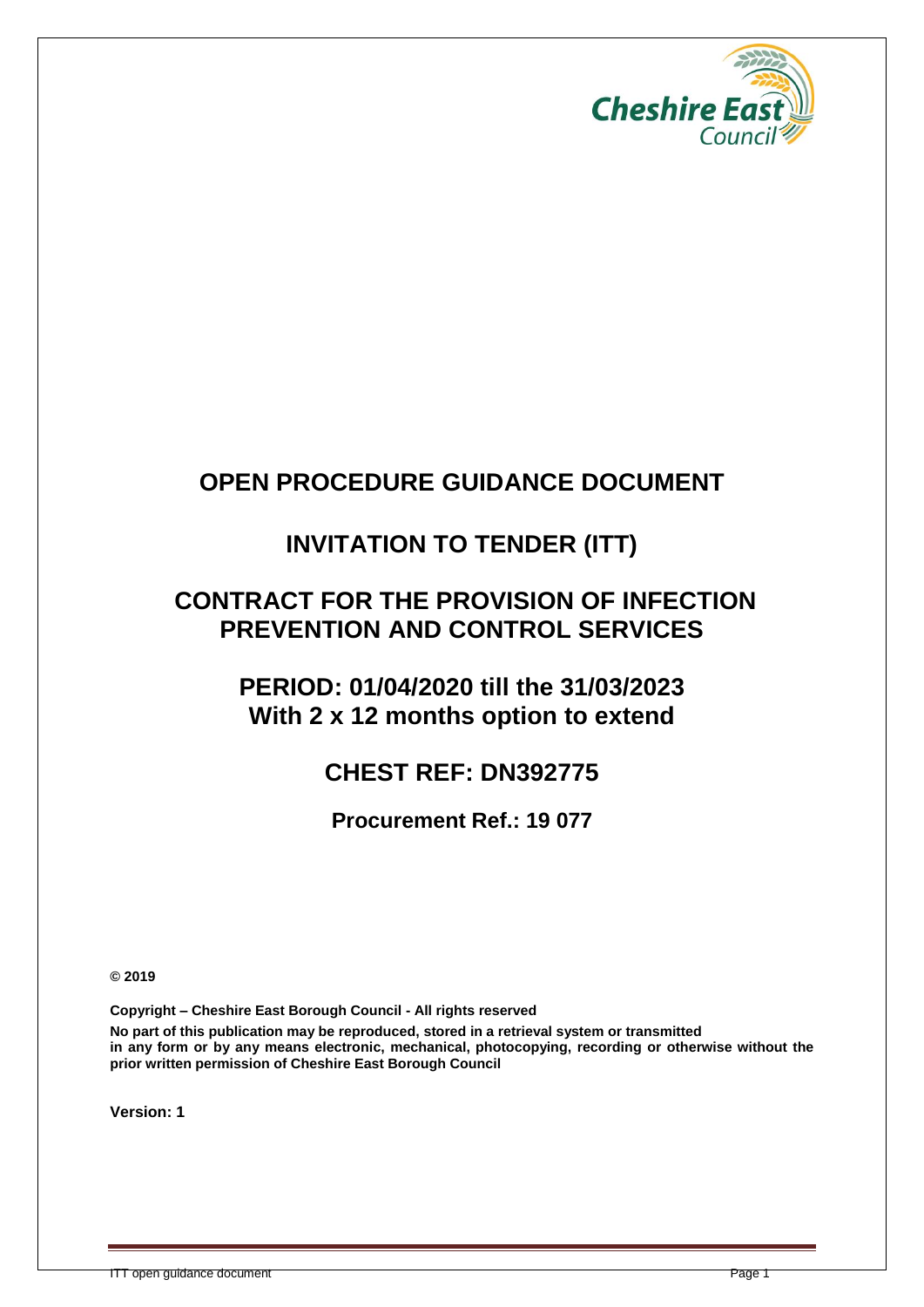

### **OPEN PROCEDURE GUIDANCE DOCUMENT**

### **INVITATION TO TENDER (ITT)**

### **CONTRACT FOR THE PROVISION OF INFECTION PREVENTION AND CONTROL SERVICES**

### **PERIOD: 01/04/2020 till the 31/03/2023 With 2 x 12 months option to extend**

### **CHEST REF: DN392775**

**Procurement Ref.: 19 077**

**© 2019**

**Copyright – Cheshire East Borough Council - All rights reserved**

**No part of this publication may be reproduced, stored in a retrieval system or transmitted in any form or by any means electronic, mechanical, photocopying, recording or otherwise without the prior written permission of Cheshire East Borough Council**

**Version: 1**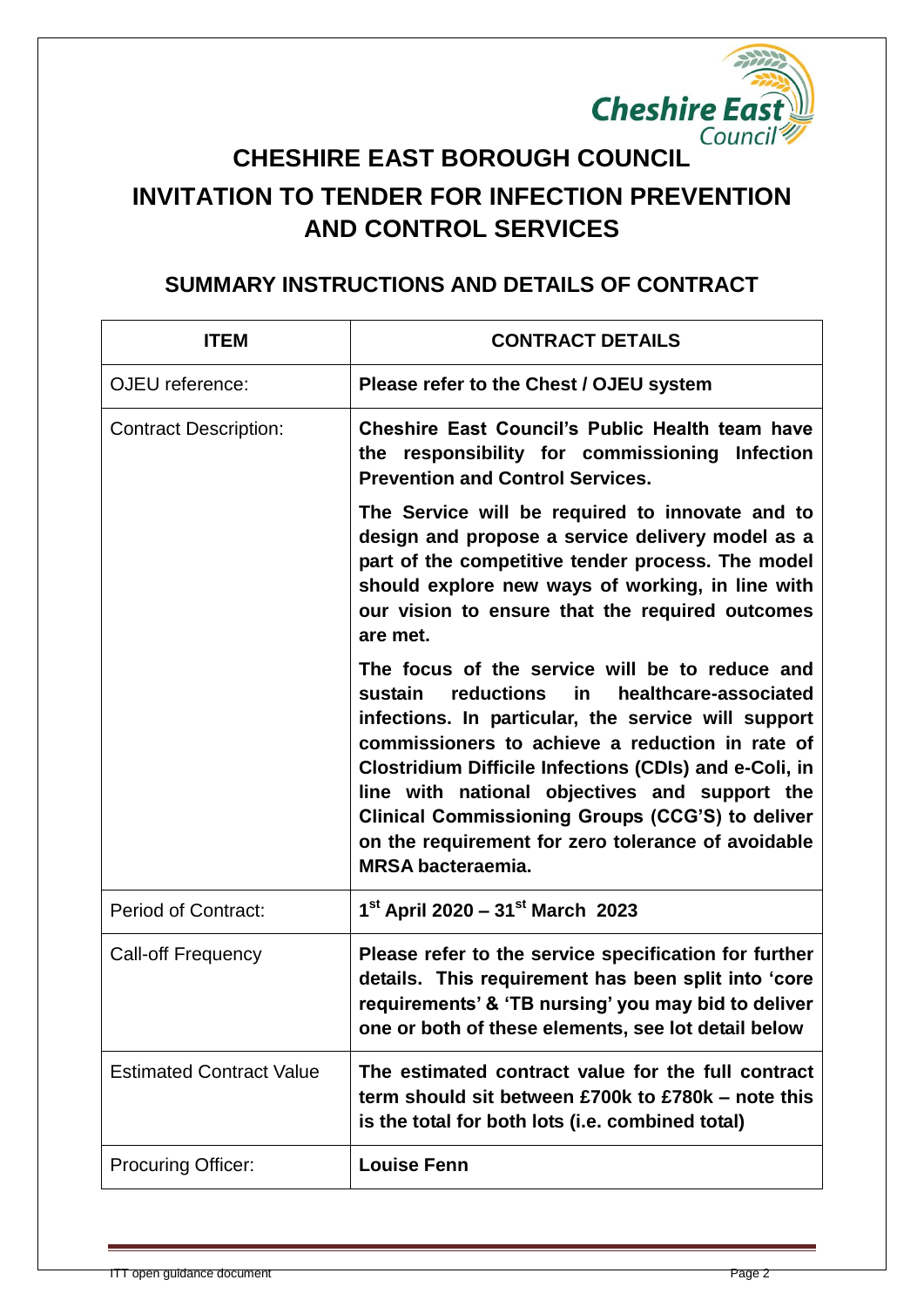

# **INVITATION TO TENDER FOR INFECTION PREVENTION AND CONTROL SERVICES**

### **SUMMARY INSTRUCTIONS AND DETAILS OF CONTRACT**

| <b>ITEM</b>                     | <b>CONTRACT DETAILS</b>                                                                                                                                                                                                                                                                                                                                                                                                                                                  |
|---------------------------------|--------------------------------------------------------------------------------------------------------------------------------------------------------------------------------------------------------------------------------------------------------------------------------------------------------------------------------------------------------------------------------------------------------------------------------------------------------------------------|
| OJEU reference:                 | Please refer to the Chest / OJEU system                                                                                                                                                                                                                                                                                                                                                                                                                                  |
| <b>Contract Description:</b>    | Cheshire East Council's Public Health team have<br>the responsibility for commissioning Infection<br><b>Prevention and Control Services.</b>                                                                                                                                                                                                                                                                                                                             |
|                                 | The Service will be required to innovate and to<br>design and propose a service delivery model as a<br>part of the competitive tender process. The model<br>should explore new ways of working, in line with<br>our vision to ensure that the required outcomes<br>are met.                                                                                                                                                                                              |
|                                 | The focus of the service will be to reduce and<br>sustain<br>reductions<br>in<br>healthcare-associated<br>infections. In particular, the service will support<br>commissioners to achieve a reduction in rate of<br><b>Clostridium Difficile Infections (CDIs) and e-Coli, in</b><br>line with national objectives and support the<br>Clinical Commissioning Groups (CCG'S) to deliver<br>on the requirement for zero tolerance of avoidable<br><b>MRSA bacteraemia.</b> |
| <b>Period of Contract:</b>      | $1^{st}$ April 2020 - 31st March 2023                                                                                                                                                                                                                                                                                                                                                                                                                                    |
| <b>Call-off Frequency</b>       | Please refer to the service specification for further<br>details. This requirement has been split into 'core<br>requirements' & 'TB nursing' you may bid to deliver<br>one or both of these elements, see lot detail below                                                                                                                                                                                                                                               |
| <b>Estimated Contract Value</b> | The estimated contract value for the full contract<br>term should sit between £700k to £780k – note this<br>is the total for both lots (i.e. combined total)                                                                                                                                                                                                                                                                                                             |
| <b>Procuring Officer:</b>       | <b>Louise Fenn</b>                                                                                                                                                                                                                                                                                                                                                                                                                                                       |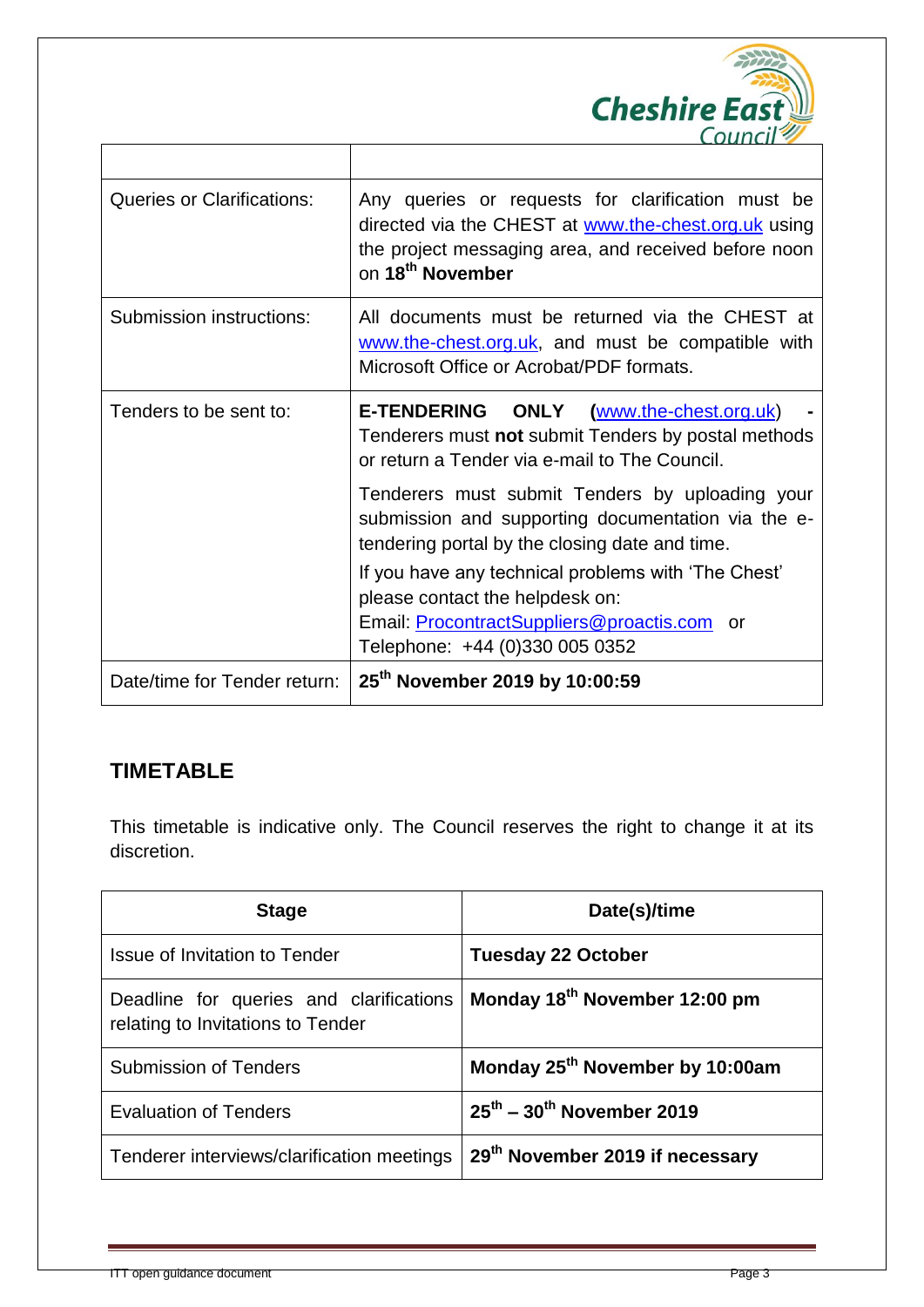

| <b>Queries or Clarifications:</b> | Any queries or requests for clarification must be<br>directed via the CHEST at www.the-chest.org.uk using<br>the project messaging area, and received before noon<br>on 18 <sup>th</sup> November |  |
|-----------------------------------|---------------------------------------------------------------------------------------------------------------------------------------------------------------------------------------------------|--|
| Submission instructions:          | All documents must be returned via the CHEST at<br>www.the-chest.org.uk, and must be compatible with<br>Microsoft Office or Acrobat/PDF formats.                                                  |  |
| Tenders to be sent to:            | E-TENDERING ONLY (www.the-chest.org.uk)<br>Tenderers must not submit Tenders by postal methods<br>or return a Tender via e-mail to The Council.                                                   |  |
|                                   | Tenderers must submit Tenders by uploading your<br>submission and supporting documentation via the e-<br>tendering portal by the closing date and time.                                           |  |
|                                   | If you have any technical problems with 'The Chest'<br>please contact the helpdesk on:                                                                                                            |  |
|                                   | Email: ProcontractSuppliers@proactis.com or<br>Telephone: +44 (0)330 005 0352                                                                                                                     |  |
| Date/time for Tender return:      | 25 <sup>th</sup> November 2019 by 10:00:59                                                                                                                                                        |  |

 $\top$ 

### **TIMETABLE**

 $\Gamma$ 

This timetable is indicative only. The Council reserves the right to change it at its discretion.

| <b>Stage</b>                                                                 | Date(s)/time                                      |
|------------------------------------------------------------------------------|---------------------------------------------------|
| <b>Issue of Invitation to Tender</b>                                         | <b>Tuesday 22 October</b>                         |
| Deadline for queries and clarifications<br>relating to Invitations to Tender | Monday 18 <sup>th</sup> November 12:00 pm         |
| <b>Submission of Tenders</b>                                                 | Monday 25 <sup>th</sup> November by 10:00am       |
| <b>Evaluation of Tenders</b>                                                 | $25^{\text{th}}$ – 30 <sup>th</sup> November 2019 |
| Tenderer interviews/clarification meetings                                   | 29 <sup>th</sup> November 2019 if necessary       |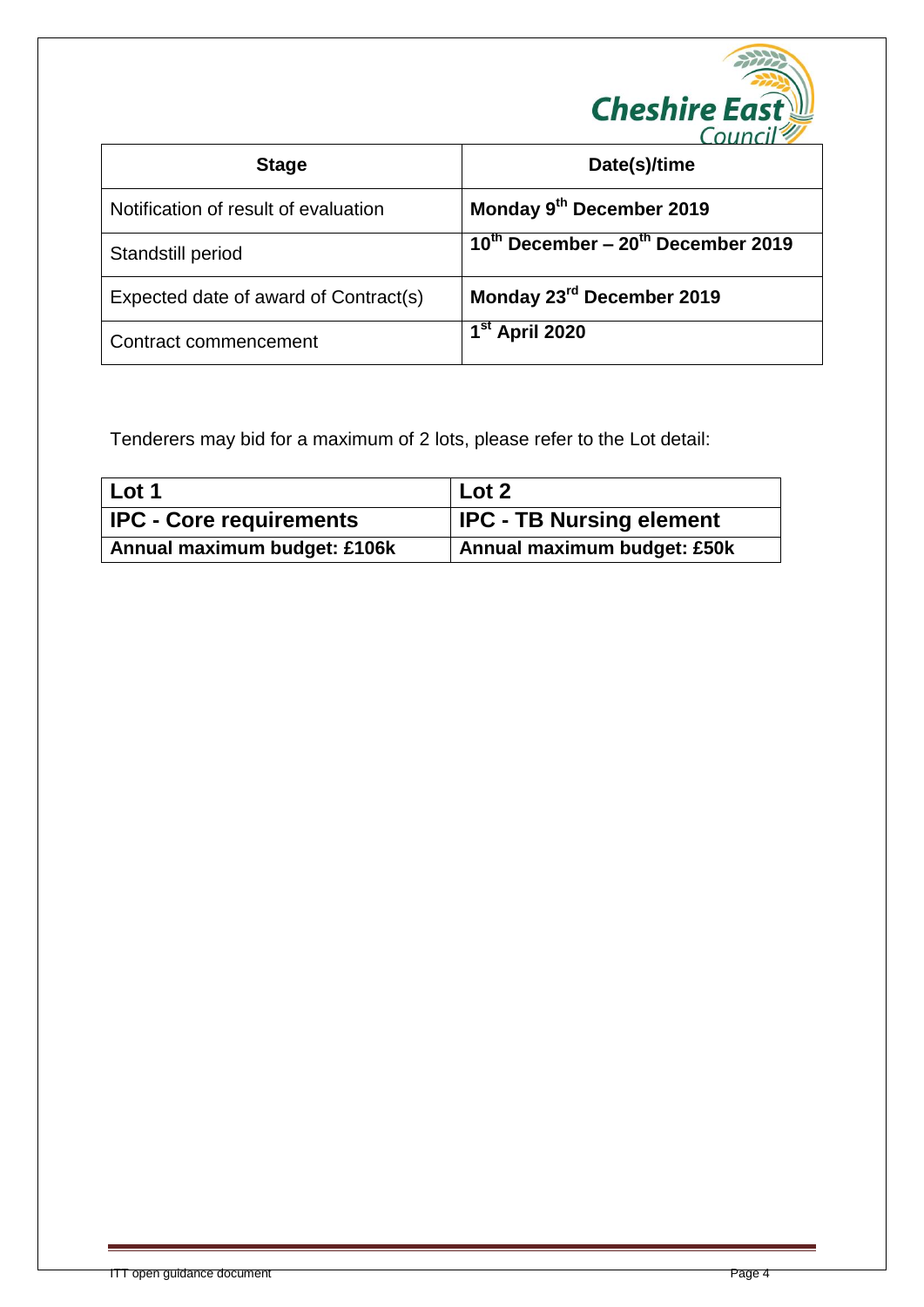

| <b>Stage</b>                          | Date(s)/time                                 |
|---------------------------------------|----------------------------------------------|
| Notification of result of evaluation  | Monday 9th December 2019                     |
| Standstill period                     | $10^{th}$ December – $20^{th}$ December 2019 |
| Expected date of award of Contract(s) | Monday 23rd December 2019                    |
| Contract commencement                 | 1 <sup>st</sup> April 2020                   |

Tenderers may bid for a maximum of 2 lots, please refer to the Lot detail:

| l Lot 1                        | Lot <sub>2</sub>                |
|--------------------------------|---------------------------------|
| <b>IPC - Core requirements</b> | <b>IPC - TB Nursing element</b> |
| Annual maximum budget: £106k   | Annual maximum budget: £50k     |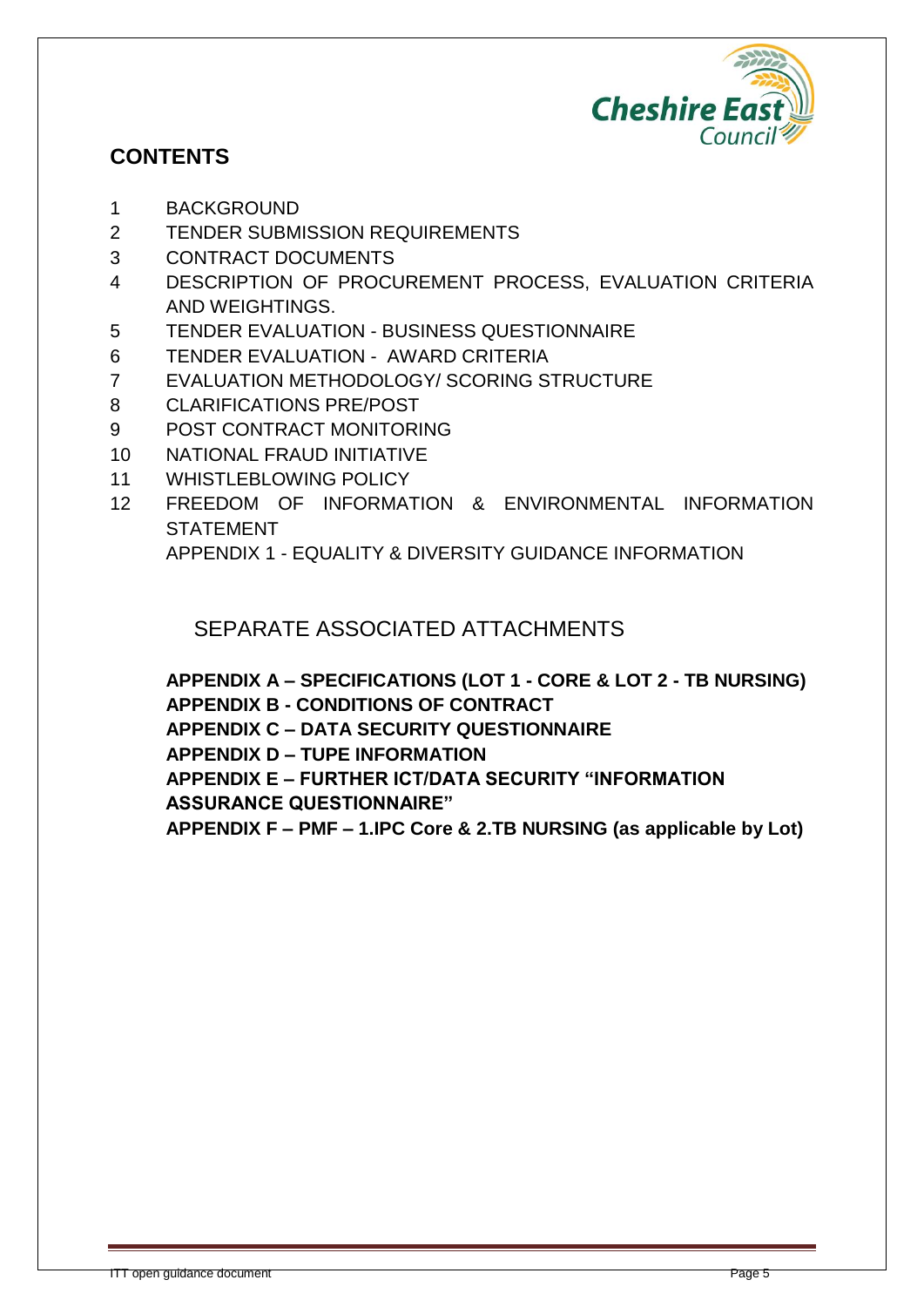

### **CONTENTS**

- 1 BACKGROUND
- 2 TENDER SUBMISSION REQUIREMENTS
- 3 CONTRACT DOCUMENTS
- 4 DESCRIPTION OF PROCUREMENT PROCESS, EVALUATION CRITERIA AND WEIGHTINGS.
- 5 TENDER EVALUATION BUSINESS QUESTIONNAIRE
- 6 TENDER EVALUATION AWARD CRITERIA
- 7 EVALUATION METHODOLOGY/ SCORING STRUCTURE
- 8 CLARIFICATIONS PRE/POST
- 9 POST CONTRACT MONITORING
- 10 NATIONAL FRAUD INITIATIVE
- 11 WHISTLEBLOWING POLICY
- 12 FREEDOM OF INFORMATION & ENVIRONMENTAL INFORMATION STATEMENT

APPENDIX 1 - EQUALITY & DIVERSITY GUIDANCE INFORMATION

### SEPARATE ASSOCIATED ATTACHMENTS

**APPENDIX A – SPECIFICATIONS (LOT 1 - CORE & LOT 2 - TB NURSING) APPENDIX B - CONDITIONS OF CONTRACT APPENDIX C – DATA SECURITY QUESTIONNAIRE**

**APPENDIX D – TUPE INFORMATION**

**APPENDIX E – FURTHER ICT/DATA SECURITY "INFORMATION** 

**ASSURANCE QUESTIONNAIRE"**

**APPENDIX F – PMF – 1.IPC Core & 2.TB NURSING (as applicable by Lot)**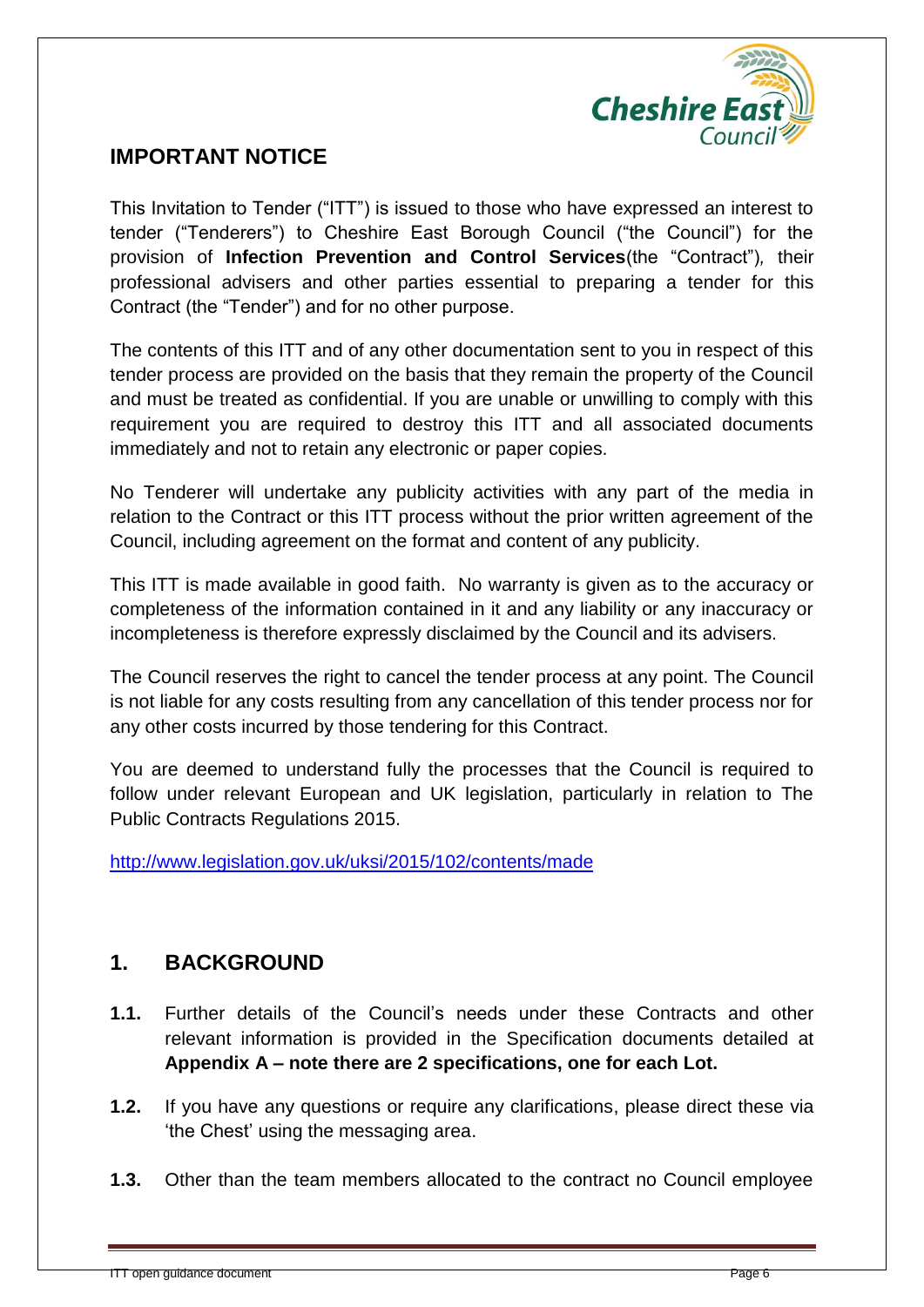

#### **IMPORTANT NOTICE**

This Invitation to Tender ("ITT") is issued to those who have expressed an interest to tender ("Tenderers") to Cheshire East Borough Council ("the Council") for the provision of **Infection Prevention and Control Services**(the "Contract")*,* their professional advisers and other parties essential to preparing a tender for this Contract (the "Tender") and for no other purpose.

The contents of this ITT and of any other documentation sent to you in respect of this tender process are provided on the basis that they remain the property of the Council and must be treated as confidential. If you are unable or unwilling to comply with this requirement you are required to destroy this ITT and all associated documents immediately and not to retain any electronic or paper copies.

No Tenderer will undertake any publicity activities with any part of the media in relation to the Contract or this ITT process without the prior written agreement of the Council, including agreement on the format and content of any publicity.

This ITT is made available in good faith. No warranty is given as to the accuracy or completeness of the information contained in it and any liability or any inaccuracy or incompleteness is therefore expressly disclaimed by the Council and its advisers.

The Council reserves the right to cancel the tender process at any point. The Council is not liable for any costs resulting from any cancellation of this tender process nor for any other costs incurred by those tendering for this Contract.

You are deemed to understand fully the processes that the Council is required to follow under relevant European and UK legislation, particularly in relation to The Public Contracts Regulations 2015.

<http://www.legislation.gov.uk/uksi/2015/102/contents/made>

### **1. BACKGROUND**

- **1.1.** Further details of the Council's needs under these Contracts and other relevant information is provided in the Specification documents detailed at **Appendix A – note there are 2 specifications, one for each Lot.**
- **1.2.** If you have any questions or require any clarifications, please direct these via 'the Chest' using the messaging area.
- **1.3.** Other than the team members allocated to the contract no Council employee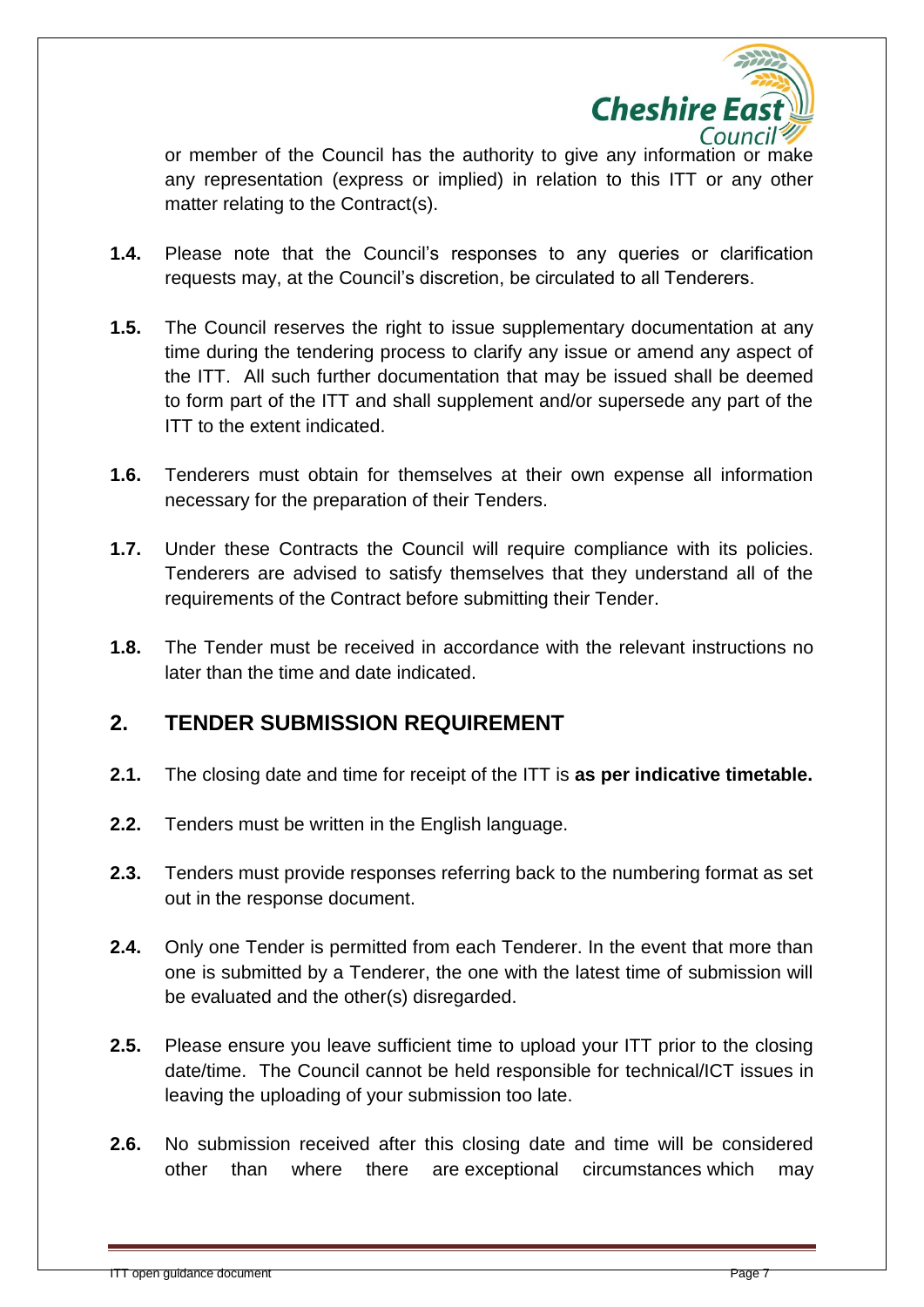

or member of the Council has the authority to give any information or make any representation (express or implied) in relation to this ITT or any other matter relating to the Contract(s).

- **1.4.** Please note that the Council's responses to any queries or clarification requests may, at the Council's discretion, be circulated to all Tenderers.
- **1.5.** The Council reserves the right to issue supplementary documentation at any time during the tendering process to clarify any issue or amend any aspect of the ITT. All such further documentation that may be issued shall be deemed to form part of the ITT and shall supplement and/or supersede any part of the ITT to the extent indicated.
- **1.6.** Tenderers must obtain for themselves at their own expense all information necessary for the preparation of their Tenders.
- **1.7.** Under these Contracts the Council will require compliance with its policies. Tenderers are advised to satisfy themselves that they understand all of the requirements of the Contract before submitting their Tender.
- **1.8.** The Tender must be received in accordance with the relevant instructions no later than the time and date indicated.

### **2. TENDER SUBMISSION REQUIREMENT**

- **2.1.** The closing date and time for receipt of the ITT is **as per indicative timetable.**
- **2.2.** Tenders must be written in the English language.
- **2.3.** Tenders must provide responses referring back to the numbering format as set out in the response document.
- **2.4.** Only one Tender is permitted from each Tenderer. In the event that more than one is submitted by a Tenderer, the one with the latest time of submission will be evaluated and the other(s) disregarded.
- **2.5.** Please ensure you leave sufficient time to upload your ITT prior to the closing date/time. The Council cannot be held responsible for technical/ICT issues in leaving the uploading of your submission too late.
- **2.6.** No submission received after this closing date and time will be considered other than where there are exceptional circumstances which may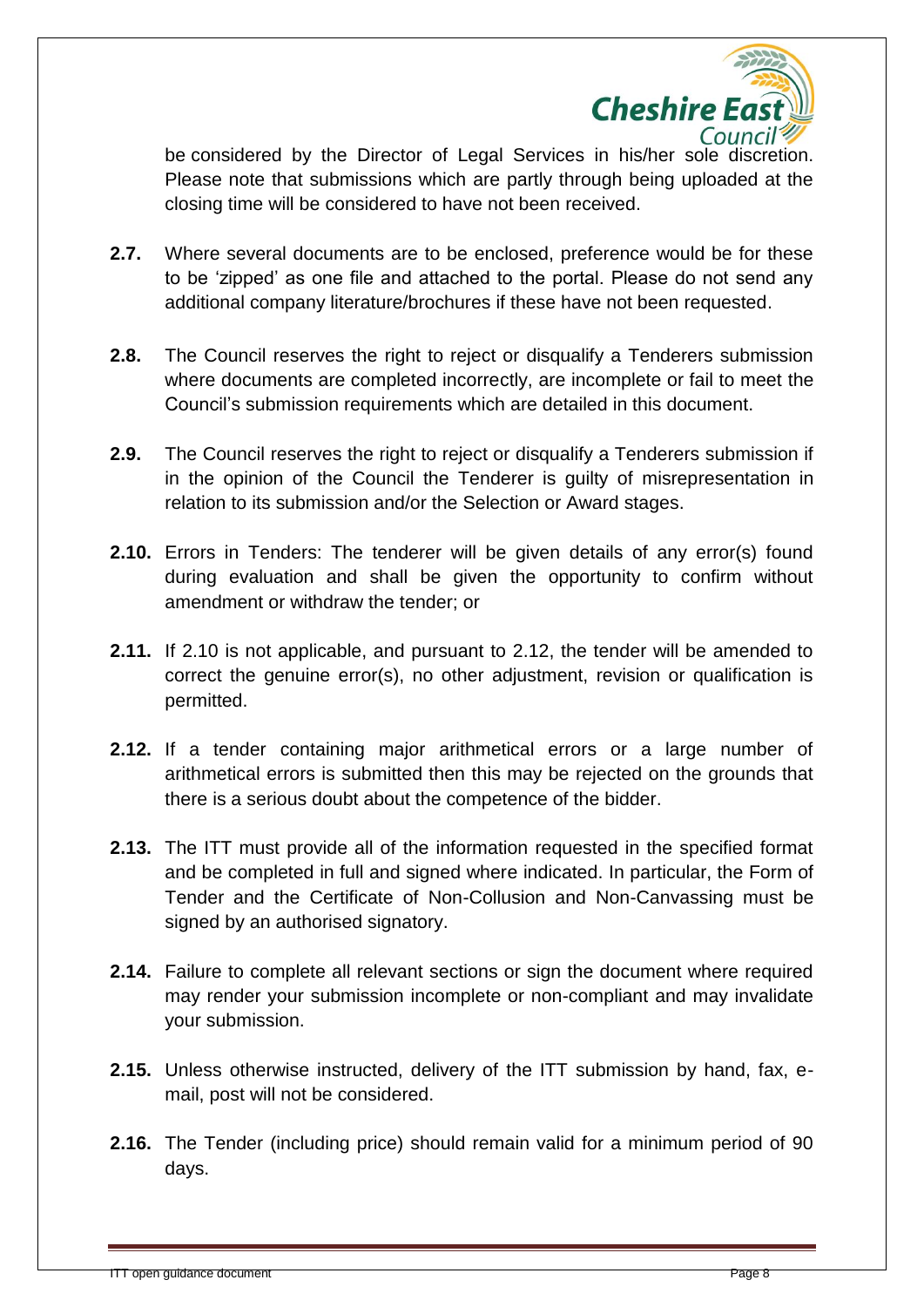

be considered by the Director of Legal Services in his/her sole discretion. Please note that submissions which are partly through being uploaded at the closing time will be considered to have not been received.

- **2.7.** Where several documents are to be enclosed, preference would be for these to be 'zipped' as one file and attached to the portal. Please do not send any additional company literature/brochures if these have not been requested.
- **2.8.** The Council reserves the right to reject or disqualify a Tenderers submission where documents are completed incorrectly, are incomplete or fail to meet the Council's submission requirements which are detailed in this document.
- **2.9.** The Council reserves the right to reject or disqualify a Tenderers submission if in the opinion of the Council the Tenderer is guilty of misrepresentation in relation to its submission and/or the Selection or Award stages.
- **2.10.** Errors in Tenders: The tenderer will be given details of any error(s) found during evaluation and shall be given the opportunity to confirm without amendment or withdraw the tender; or
- **2.11.** If 2.10 is not applicable, and pursuant to 2.12, the tender will be amended to correct the genuine error(s), no other adjustment, revision or qualification is permitted.
- **2.12.** If a tender containing major arithmetical errors or a large number of arithmetical errors is submitted then this may be rejected on the grounds that there is a serious doubt about the competence of the bidder.
- **2.13.** The ITT must provide all of the information requested in the specified format and be completed in full and signed where indicated. In particular, the Form of Tender and the Certificate of Non-Collusion and Non-Canvassing must be signed by an authorised signatory.
- **2.14.** Failure to complete all relevant sections or sign the document where required may render your submission incomplete or non-compliant and may invalidate your submission.
- **2.15.** Unless otherwise instructed, delivery of the ITT submission by hand, fax, email, post will not be considered.
- **2.16.** The Tender (including price) should remain valid for a minimum period of 90 days.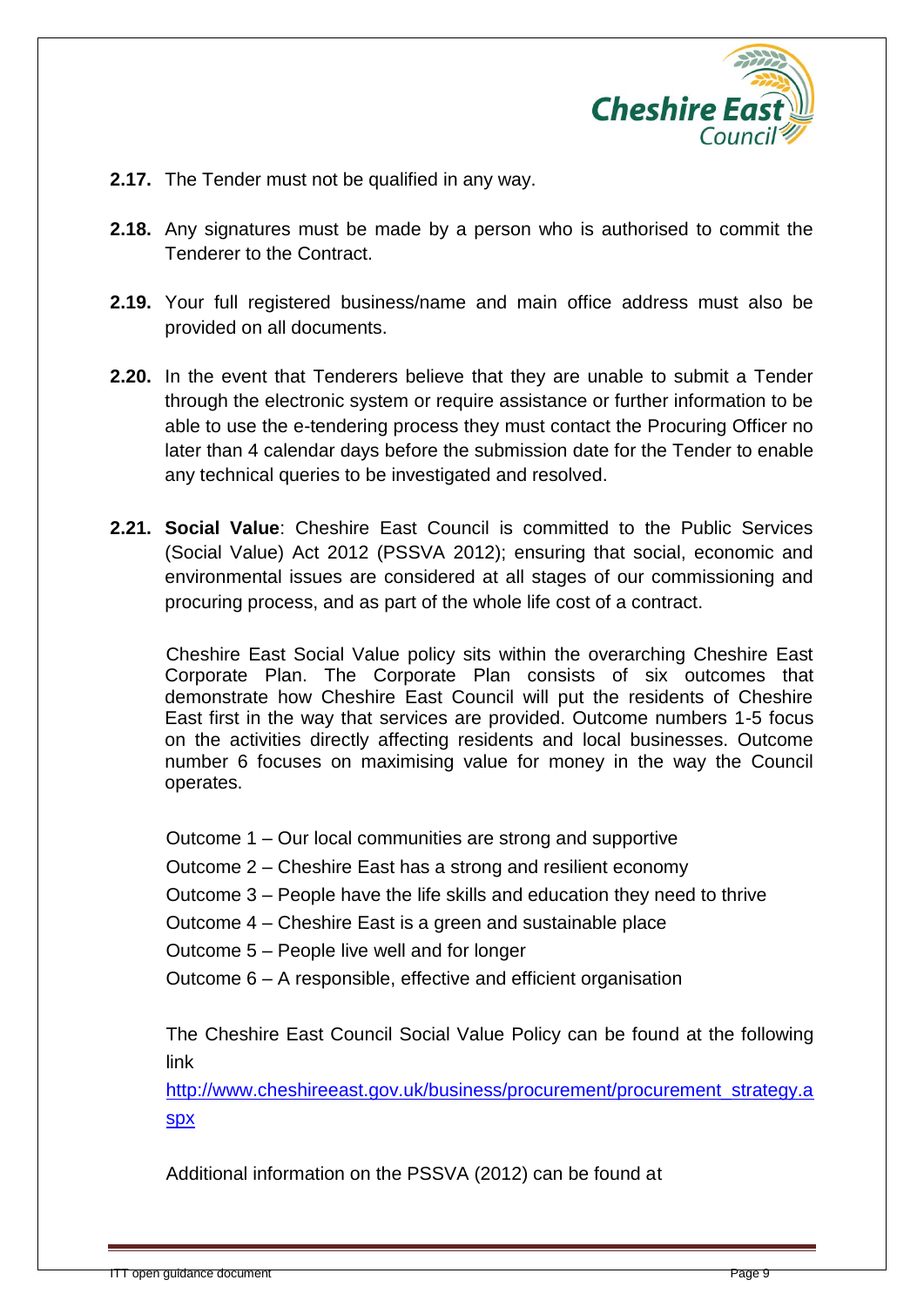

- **2.17.** The Tender must not be qualified in any way.
- **2.18.** Any signatures must be made by a person who is authorised to commit the Tenderer to the Contract.
- **2.19.** Your full registered business/name and main office address must also be provided on all documents.
- **2.20.** In the event that Tenderers believe that they are unable to submit a Tender through the electronic system or require assistance or further information to be able to use the e-tendering process they must contact the Procuring Officer no later than 4 calendar days before the submission date for the Tender to enable any technical queries to be investigated and resolved.
- **2.21. Social Value**: Cheshire East Council is committed to the Public Services (Social Value) Act 2012 (PSSVA 2012); ensuring that social, economic and environmental issues are considered at all stages of our commissioning and procuring process, and as part of the whole life cost of a contract.

Cheshire East Social Value policy sits within the overarching Cheshire East Corporate Plan. The Corporate Plan consists of six outcomes that demonstrate how Cheshire East Council will put the residents of Cheshire East first in the way that services are provided. Outcome numbers 1-5 focus on the activities directly affecting residents and local businesses. Outcome number 6 focuses on maximising value for money in the way the Council operates.

Outcome 1 – Our local communities are strong and supportive

Outcome 2 – Cheshire East has a strong and resilient economy

Outcome 3 – People have the life skills and education they need to thrive

Outcome 4 – Cheshire East is a green and sustainable place

Outcome 5 – People live well and for longer

Outcome 6 – A responsible, effective and efficient organisation

The Cheshire East Council Social Value Policy can be found at the following link

[http://www.cheshireeast.gov.uk/business/procurement/procurement\\_strategy.a](http://www.cheshireeast.gov.uk/business/procurement/procurement_strategy.aspx) [spx](http://www.cheshireeast.gov.uk/business/procurement/procurement_strategy.aspx)

Additional information on the PSSVA (2012) can be found at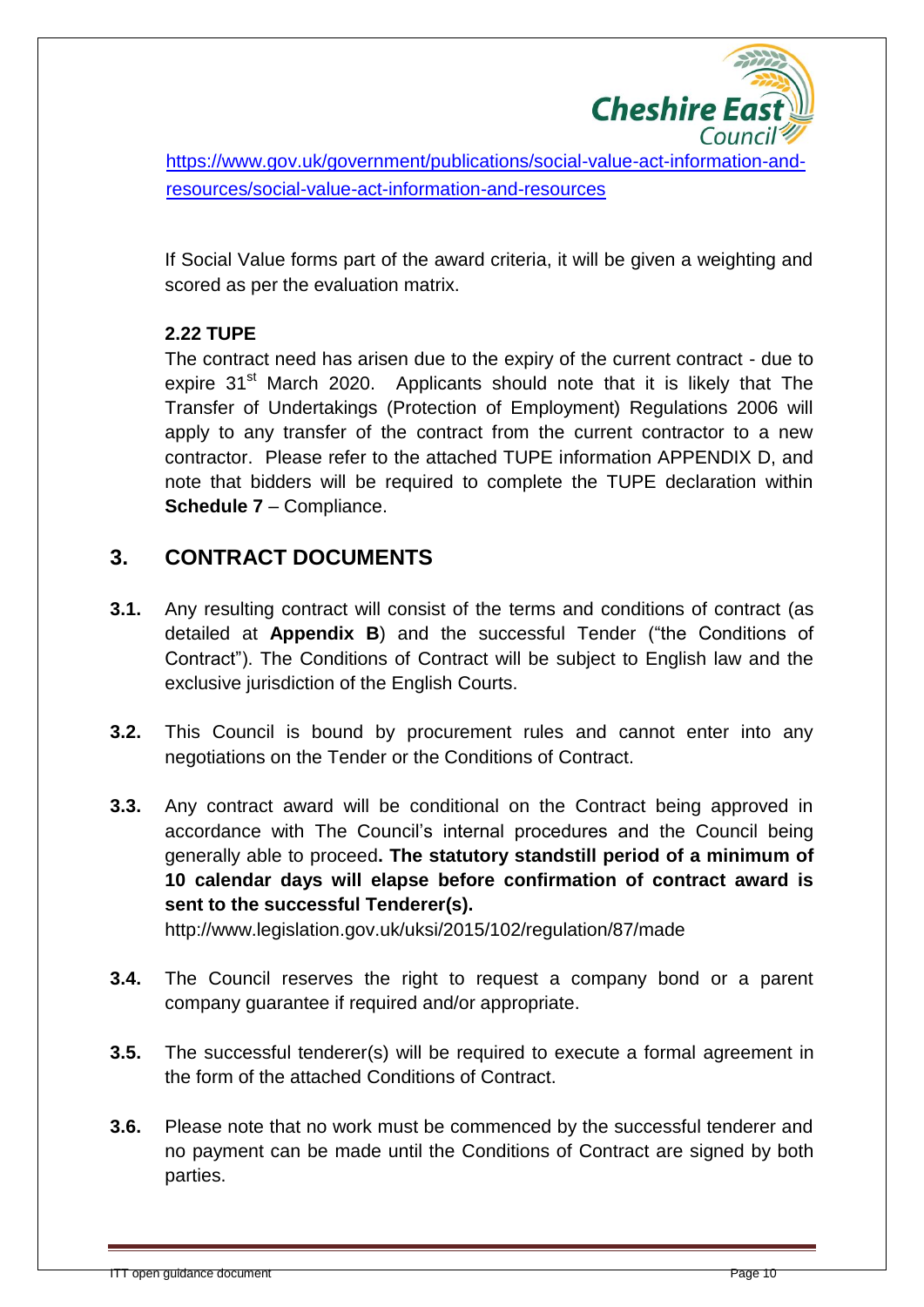

[https://www.gov.uk/government/publications/social-value-act-information-and](https://www.gov.uk/government/publications/social-value-act-information-and-%20%20%20resources/social-value-act-information-and-resources)[resources/social-value-act-information-and-resources](https://www.gov.uk/government/publications/social-value-act-information-and-%20%20%20resources/social-value-act-information-and-resources)

If Social Value forms part of the award criteria, it will be given a weighting and scored as per the evaluation matrix.

#### **2.22 TUPE**

The contract need has arisen due to the expiry of the current contract - due to expire 31<sup>st</sup> March 2020. Applicants should note that it is likely that The Transfer of Undertakings (Protection of Employment) Regulations 2006 will apply to any transfer of the contract from the current contractor to a new contractor. Please refer to the attached TUPE information APPENDIX D, and note that bidders will be required to complete the TUPE declaration within **Schedule 7** – Compliance.

### **3. CONTRACT DOCUMENTS**

- **3.1.** Any resulting contract will consist of the terms and conditions of contract (as detailed at **Appendix B**) and the successful Tender ("the Conditions of Contract"). The Conditions of Contract will be subject to English law and the exclusive jurisdiction of the English Courts.
- **3.2.** This Council is bound by procurement rules and cannot enter into any negotiations on the Tender or the Conditions of Contract.
- **3.3.** Any contract award will be conditional on the Contract being approved in accordance with The Council's internal procedures and the Council being generally able to proceed**. The statutory standstill period of a minimum of 10 calendar days will elapse before confirmation of contract award is sent to the successful Tenderer(s).**

http://www.legislation.gov.uk/uksi/2015/102/regulation/87/made

- **3.4.** The Council reserves the right to request a company bond or a parent company guarantee if required and/or appropriate.
- **3.5.** The successful tenderer(s) will be required to execute a formal agreement in the form of the attached Conditions of Contract.
- **3.6.** Please note that no work must be commenced by the successful tenderer and no payment can be made until the Conditions of Contract are signed by both parties.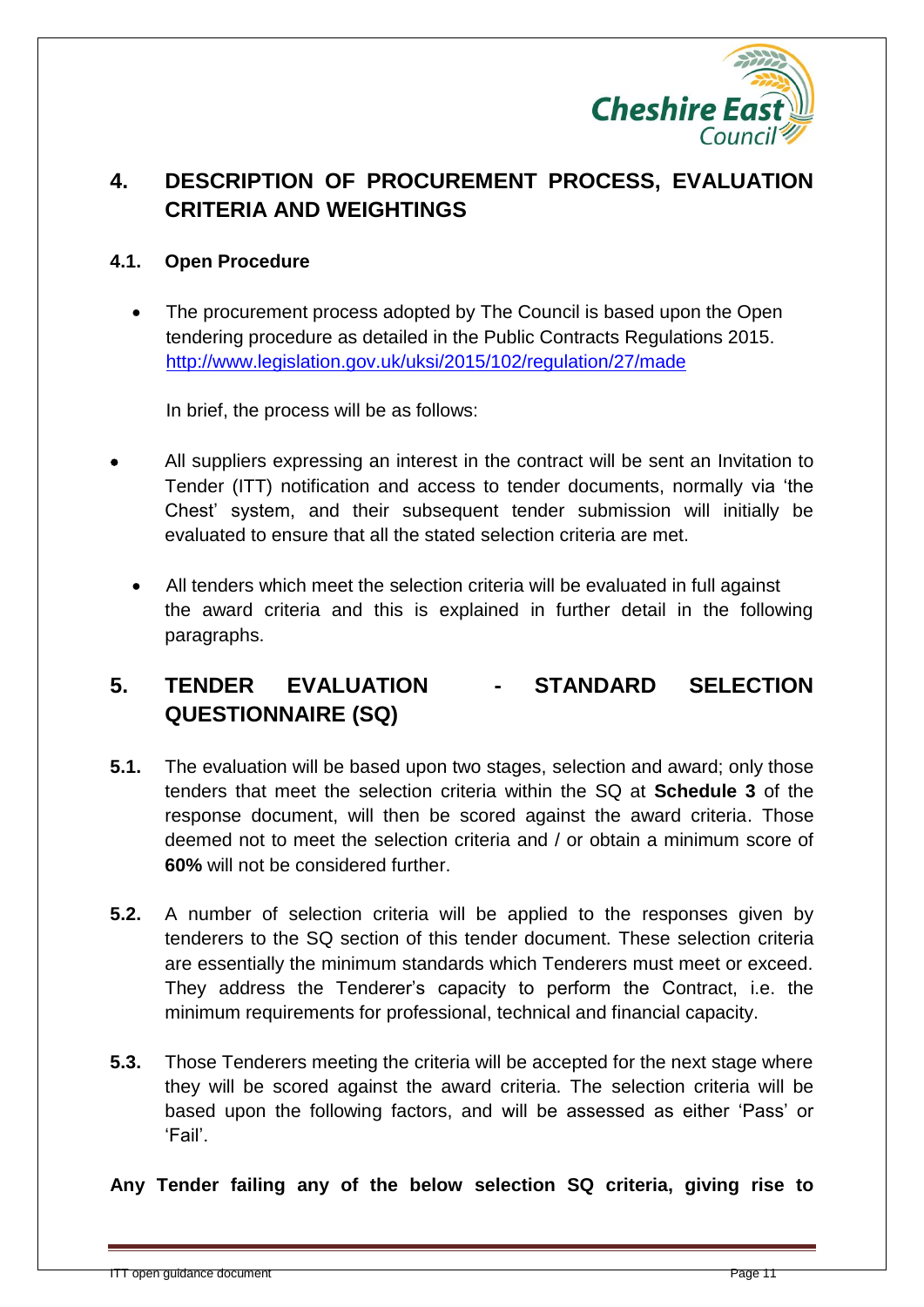

### **4. DESCRIPTION OF PROCUREMENT PROCESS, EVALUATION CRITERIA AND WEIGHTINGS**

#### **4.1. Open Procedure**

 The procurement process adopted by The Council is based upon the Open tendering procedure as detailed in the Public Contracts Regulations 2015. <http://www.legislation.gov.uk/uksi/2015/102/regulation/27/made>

In brief, the process will be as follows:

- All suppliers expressing an interest in the contract will be sent an Invitation to Tender (ITT) notification and access to tender documents, normally via 'the Chest' system, and their subsequent tender submission will initially be evaluated to ensure that all the stated selection criteria are met.
	- All tenders which meet the selection criteria will be evaluated in full against the award criteria and this is explained in further detail in the following paragraphs.

### **5. TENDER EVALUATION - STANDARD SELECTION QUESTIONNAIRE (SQ)**

- **5.1.** The evaluation will be based upon two stages, selection and award; only those tenders that meet the selection criteria within the SQ at **Schedule 3** of the response document, will then be scored against the award criteria. Those deemed not to meet the selection criteria and / or obtain a minimum score of **60%** will not be considered further.
- **5.2.** A number of selection criteria will be applied to the responses given by tenderers to the SQ section of this tender document. These selection criteria are essentially the minimum standards which Tenderers must meet or exceed. They address the Tenderer's capacity to perform the Contract, i.e. the minimum requirements for professional, technical and financial capacity.
- **5.3.** Those Tenderers meeting the criteria will be accepted for the next stage where they will be scored against the award criteria. The selection criteria will be based upon the following factors, and will be assessed as either 'Pass' or 'Fail'.

**Any Tender failing any of the below selection SQ criteria, giving rise to**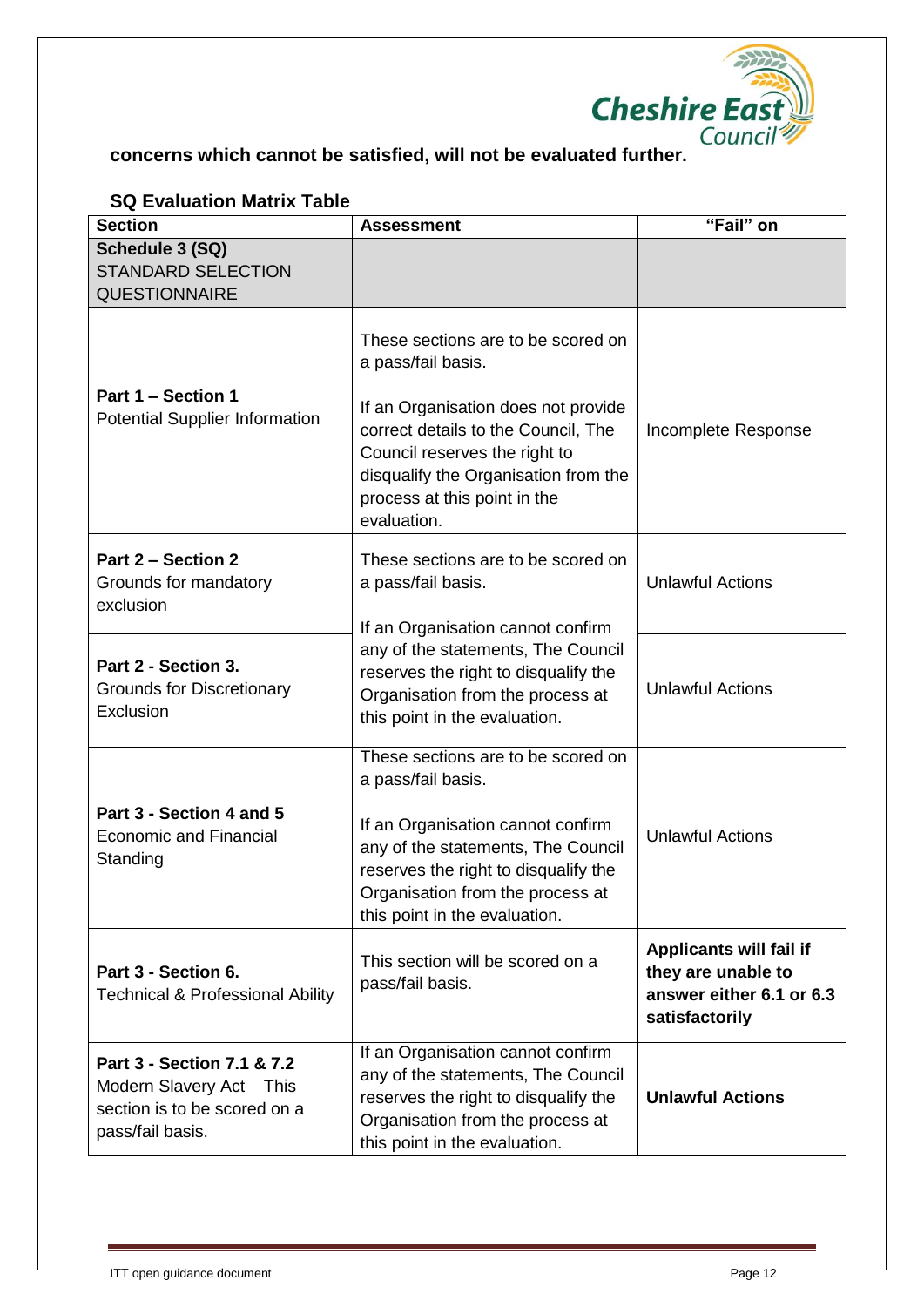

| <b>UW LYAIUALIUII INALIA TADIG</b><br><b>Section</b>                                                      | <b>Assessment</b>                                                                                                                                                                                                                                              | "Fail" on                                                                                   |
|-----------------------------------------------------------------------------------------------------------|----------------------------------------------------------------------------------------------------------------------------------------------------------------------------------------------------------------------------------------------------------------|---------------------------------------------------------------------------------------------|
| Schedule 3 (SQ)<br><b>STANDARD SELECTION</b><br><b>QUESTIONNAIRE</b>                                      |                                                                                                                                                                                                                                                                |                                                                                             |
| Part 1 - Section 1<br><b>Potential Supplier Information</b>                                               | These sections are to be scored on<br>a pass/fail basis.<br>If an Organisation does not provide<br>correct details to the Council, The<br>Council reserves the right to<br>disqualify the Organisation from the<br>process at this point in the<br>evaluation. | Incomplete Response                                                                         |
| <b>Part 2 - Section 2</b><br>Grounds for mandatory<br>exclusion                                           | These sections are to be scored on<br>a pass/fail basis.<br>If an Organisation cannot confirm                                                                                                                                                                  | <b>Unlawful Actions</b>                                                                     |
| Part 2 - Section 3.<br><b>Grounds for Discretionary</b><br>Exclusion                                      | any of the statements, The Council<br>reserves the right to disqualify the<br>Organisation from the process at<br>this point in the evaluation.                                                                                                                | <b>Unlawful Actions</b>                                                                     |
| Part 3 - Section 4 and 5<br><b>Economic and Financial</b><br>Standing                                     | These sections are to be scored on<br>a pass/fail basis.<br>If an Organisation cannot confirm<br>any of the statements, The Council<br>reserves the right to disqualify the<br>Organisation from the process at<br>this point in the evaluation.               | <b>Unlawful Actions</b>                                                                     |
| Part 3 - Section 6.<br><b>Technical &amp; Professional Ability</b>                                        | This section will be scored on a<br>pass/fail basis.                                                                                                                                                                                                           | Applicants will fail if<br>they are unable to<br>answer either 6.1 or 6.3<br>satisfactorily |
| Part 3 - Section 7.1 & 7.2<br>Modern Slavery Act This<br>section is to be scored on a<br>pass/fail basis. | If an Organisation cannot confirm<br>any of the statements, The Council<br>reserves the right to disqualify the<br>Organisation from the process at<br>this point in the evaluation.                                                                           | <b>Unlawful Actions</b>                                                                     |

#### **SQ Evaluation Matrix Table**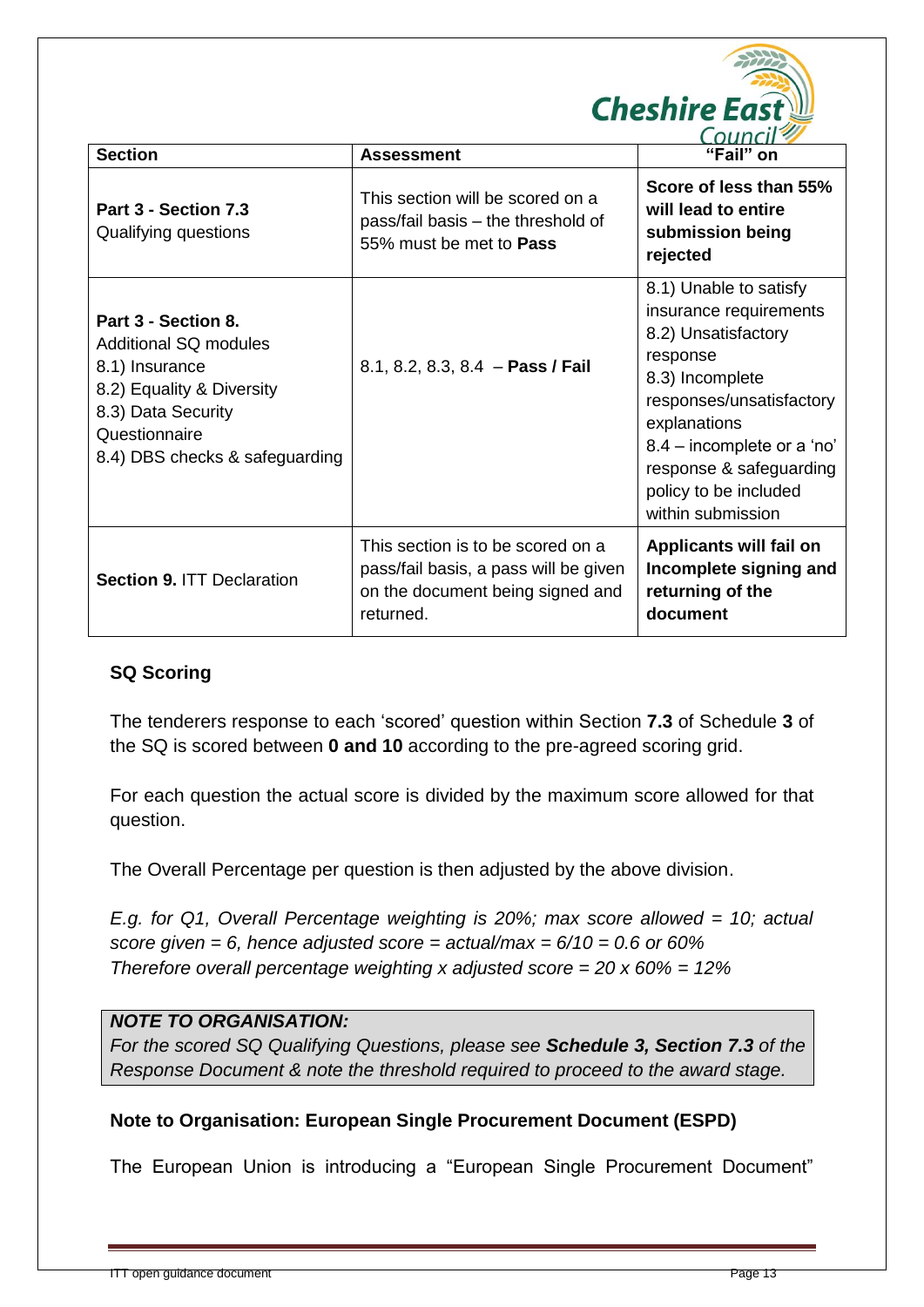

| <b>Section</b>                                                                                                                                                              | <b>Assessment</b>                                                                                                           | "Fail" on                                                                                                                                                                                                                                                 |
|-----------------------------------------------------------------------------------------------------------------------------------------------------------------------------|-----------------------------------------------------------------------------------------------------------------------------|-----------------------------------------------------------------------------------------------------------------------------------------------------------------------------------------------------------------------------------------------------------|
| Part 3 - Section 7.3<br>Qualifying questions                                                                                                                                | This section will be scored on a<br>pass/fail basis – the threshold of<br>55% must be met to <b>Pass</b>                    | Score of less than 55%<br>will lead to entire<br>submission being<br>rejected                                                                                                                                                                             |
| Part 3 - Section 8.<br><b>Additional SQ modules</b><br>8.1) Insurance<br>8.2) Equality & Diversity<br>8.3) Data Security<br>Questionnaire<br>8.4) DBS checks & safeguarding | 8.1, 8.2, 8.3, 8.4 - Pass / Fail                                                                                            | 8.1) Unable to satisfy<br>insurance requirements<br>8.2) Unsatisfactory<br>response<br>8.3) Incomplete<br>responses/unsatisfactory<br>explanations<br>8.4 – incomplete or a 'no'<br>response & safeguarding<br>policy to be included<br>within submission |
| <b>Section 9. ITT Declaration</b>                                                                                                                                           | This section is to be scored on a<br>pass/fail basis, a pass will be given<br>on the document being signed and<br>returned. | Applicants will fail on<br>Incomplete signing and<br>returning of the<br>document                                                                                                                                                                         |

#### **SQ Scoring**

The tenderers response to each 'scored' question within Section **7.3** of Schedule **3** of the SQ is scored between **0 and 10** according to the pre-agreed scoring grid.

For each question the actual score is divided by the maximum score allowed for that question.

The Overall Percentage per question is then adjusted by the above division.

*E.g. for Q1, Overall Percentage weighting is 20%; max score allowed = 10; actual score given = 6, hence adjusted score = actual/max = 6/10 = 0.6 or 60% Therefore overall percentage weighting x adjusted score = 20 x 60% = 12%*

#### *NOTE TO ORGANISATION:*

*For the scored SQ Qualifying Questions, please see Schedule 3, Section 7.3 of the Response Document & note the threshold required to proceed to the award stage.* 

#### **Note to Organisation: European Single Procurement Document (ESPD)**

The European Union is introducing a "European Single Procurement Document"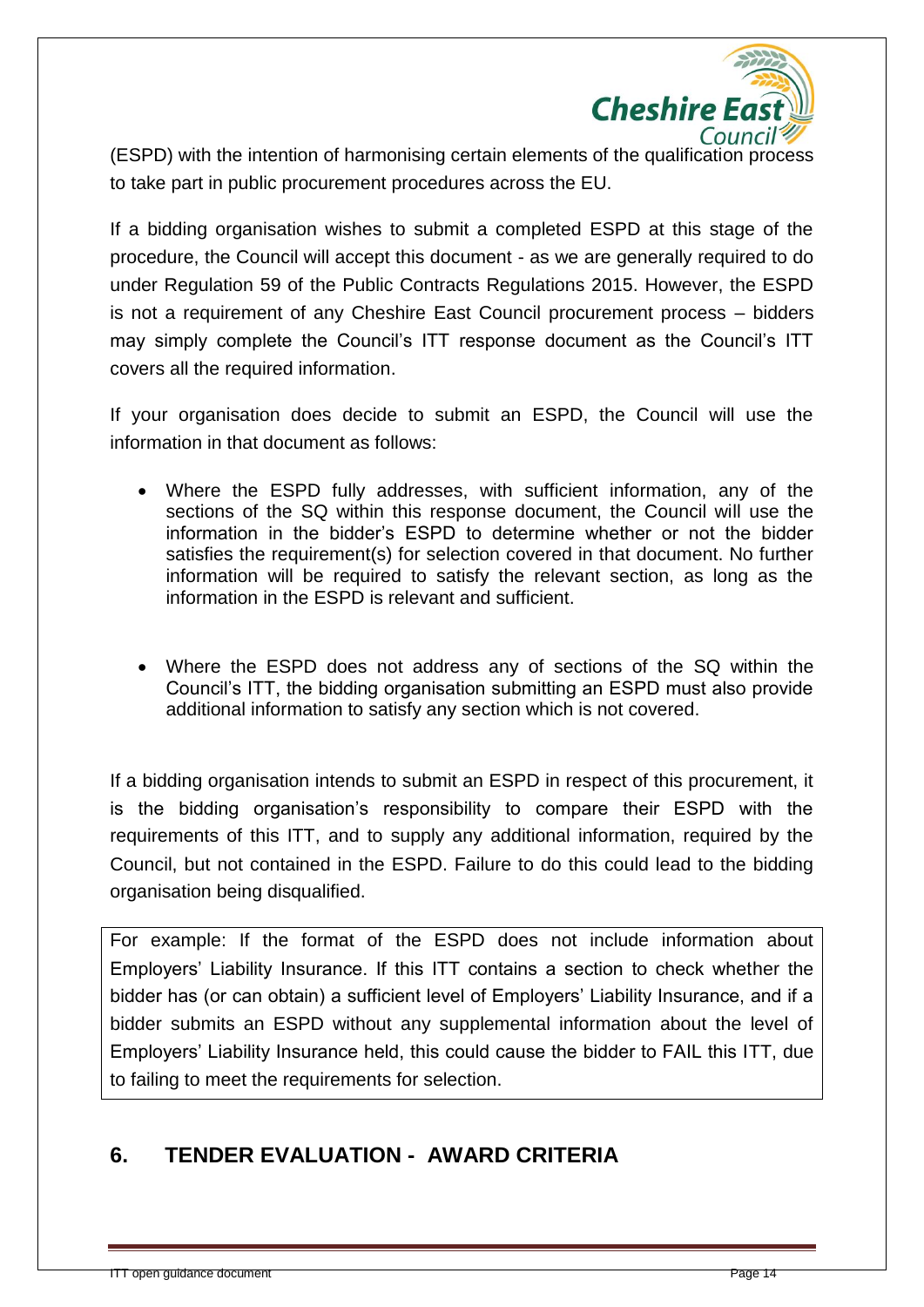

(ESPD) with the intention of harmonising certain elements of the qualification process to take part in public procurement procedures across the EU.

If a bidding organisation wishes to submit a completed ESPD at this stage of the procedure, the Council will accept this document - as we are generally required to do under Regulation 59 of the Public Contracts Regulations 2015. However, the ESPD is not a requirement of any Cheshire East Council procurement process – bidders may simply complete the Council's ITT response document as the Council's ITT covers all the required information.

If your organisation does decide to submit an ESPD, the Council will use the information in that document as follows:

- Where the ESPD fully addresses, with sufficient information, any of the sections of the SQ within this response document, the Council will use the information in the bidder's ESPD to determine whether or not the bidder satisfies the requirement(s) for selection covered in that document. No further information will be required to satisfy the relevant section, as long as the information in the ESPD is relevant and sufficient.
- Where the ESPD does not address any of sections of the SQ within the Council's ITT, the bidding organisation submitting an ESPD must also provide additional information to satisfy any section which is not covered.

If a bidding organisation intends to submit an ESPD in respect of this procurement, it is the bidding organisation's responsibility to compare their ESPD with the requirements of this ITT, and to supply any additional information, required by the Council, but not contained in the ESPD. Failure to do this could lead to the bidding organisation being disqualified.

For example: If the format of the ESPD does not include information about Employers' Liability Insurance. If this ITT contains a section to check whether the bidder has (or can obtain) a sufficient level of Employers' Liability Insurance, and if a bidder submits an ESPD without any supplemental information about the level of Employers' Liability Insurance held, this could cause the bidder to FAIL this ITT, due to failing to meet the requirements for selection.

### **6. TENDER EVALUATION - AWARD CRITERIA**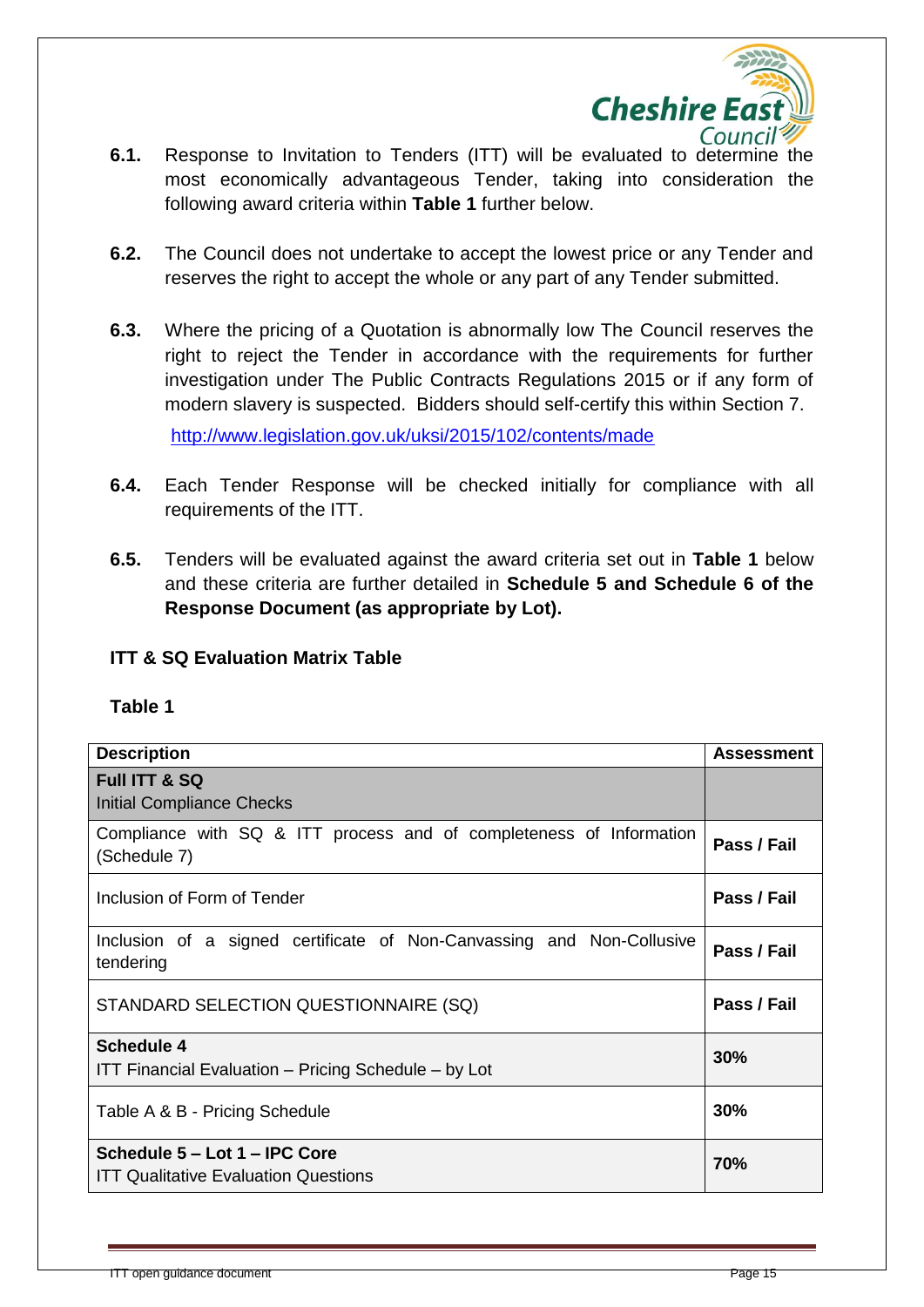

- **6.1.** Response to Invitation to Tenders (ITT) will be evaluated to determine the most economically advantageous Tender, taking into consideration the following award criteria within **Table 1** further below.
- **6.2.** The Council does not undertake to accept the lowest price or any Tender and reserves the right to accept the whole or any part of any Tender submitted.
- **6.3.** Where the pricing of a Quotation is abnormally low The Council reserves the right to reject the Tender in accordance with the requirements for further investigation under The Public Contracts Regulations 2015 or if any form of modern slavery is suspected. Bidders should self-certify this within Section 7. <http://www.legislation.gov.uk/uksi/2015/102/contents/made>
- **6.4.** Each Tender Response will be checked initially for compliance with all requirements of the ITT.
- **6.5.** Tenders will be evaluated against the award criteria set out in **Table 1** below and these criteria are further detailed in **Schedule 5 and Schedule 6 of the Response Document (as appropriate by Lot).**

#### **ITT & SQ Evaluation Matrix Table**

#### **Table 1**

| <b>Description</b>                                                                  | <b>Assessment</b> |
|-------------------------------------------------------------------------------------|-------------------|
| Full ITT & SQ<br><b>Initial Compliance Checks</b>                                   |                   |
| Compliance with SQ & ITT process and of completeness of Information<br>(Schedule 7) | Pass / Fail       |
| Inclusion of Form of Tender                                                         | Pass / Fail       |
| Inclusion of a signed certificate of Non-Canvassing and Non-Collusive<br>tendering  | Pass / Fail       |
| STANDARD SELECTION QUESTIONNAIRE (SQ)                                               | Pass / Fail       |
| <b>Schedule 4</b><br>ITT Financial Evaluation - Pricing Schedule - by Lot           | 30%               |
| Table A & B - Pricing Schedule                                                      | 30%               |
| Schedule 5 – Lot 1 – IPC Core<br><b>ITT Qualitative Evaluation Questions</b>        | 70%               |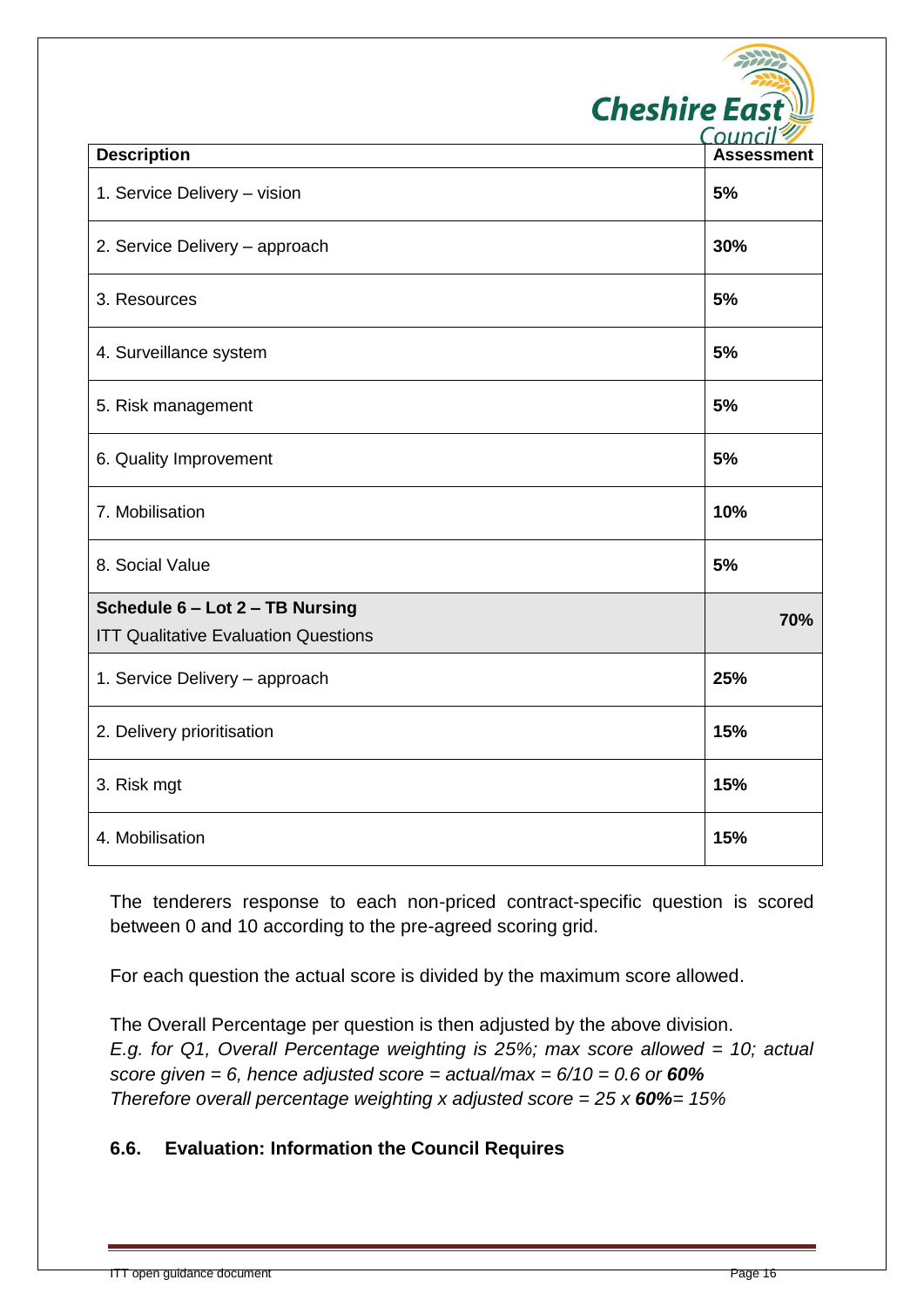| <b>Cheshire East</b> |
|----------------------|
| Council <sup>2</sup> |
|                      |

| <b>Description</b>                          | <b>Assessment</b> |
|---------------------------------------------|-------------------|
| 1. Service Delivery - vision                | 5%                |
| 2. Service Delivery - approach              | 30%               |
| 3. Resources                                | 5%                |
| 4. Surveillance system                      | 5%                |
| 5. Risk management                          | 5%                |
| 6. Quality Improvement                      | 5%                |
| 7. Mobilisation                             | 10%               |
| 8. Social Value                             | 5%                |
| Schedule 6 - Lot 2 - TB Nursing             |                   |
| <b>ITT Qualitative Evaluation Questions</b> | 70%               |
| 1. Service Delivery - approach              | 25%               |
| 2. Delivery prioritisation                  | 15%               |
| 3. Risk mgt                                 | 15%               |
| 4. Mobilisation                             | 15%               |

The tenderers response to each non-priced contract-specific question is scored between 0 and 10 according to the pre-agreed scoring grid.

For each question the actual score is divided by the maximum score allowed.

The Overall Percentage per question is then adjusted by the above division. *E.g. for Q1, Overall Percentage weighting is 25%; max score allowed = 10; actual score given = 6, hence adjusted score = actual/max = 6/10 = 0.6 or 60% Therefore overall percentage weighting x adjusted score = 25 x 60%= 15%*

#### **6.6. Evaluation: Information the Council Requires**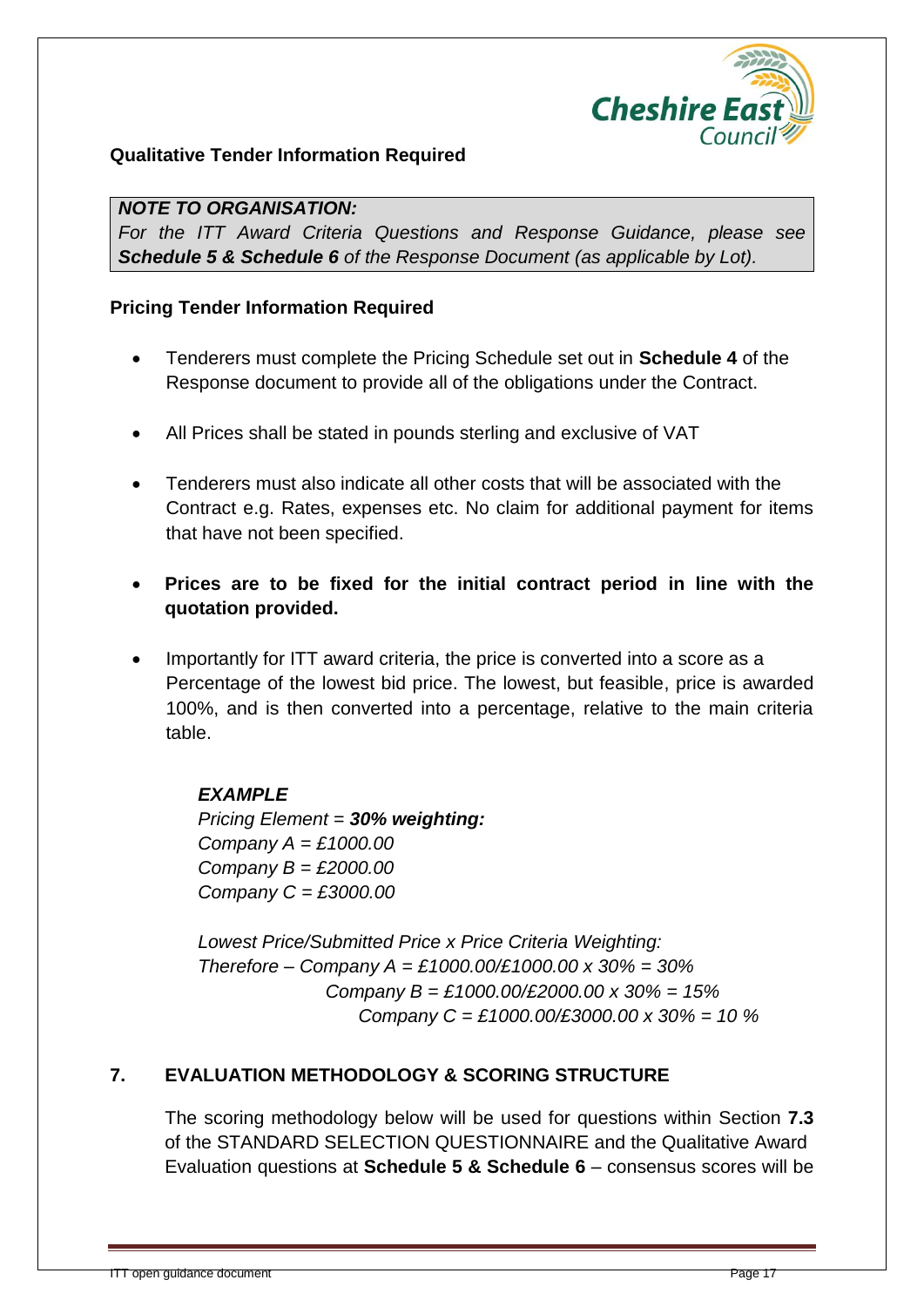

#### **Qualitative Tender Information Required**

#### *NOTE TO ORGANISATION:*

*For the ITT Award Criteria Questions and Response Guidance, please see Schedule 5 & Schedule 6 of the Response Document (as applicable by Lot).*

#### **Pricing Tender Information Required**

- Tenderers must complete the Pricing Schedule set out in **Schedule 4** of the Response document to provide all of the obligations under the Contract.
- All Prices shall be stated in pounds sterling and exclusive of VAT
- Tenderers must also indicate all other costs that will be associated with the Contract e.g. Rates, expenses etc. No claim for additional payment for items that have not been specified.
- **Prices are to be fixed for the initial contract period in line with the quotation provided.**
- Importantly for ITT award criteria, the price is converted into a score as a Percentage of the lowest bid price. The lowest, but feasible, price is awarded 100%, and is then converted into a percentage, relative to the main criteria table.

#### *EXAMPLE*

*Pricing Element = 30% weighting: Company A = £1000.00 Company B = £2000.00 Company C = £3000.00*

*Lowest Price/Submitted Price x Price Criteria Weighting: Therefore – Company A = £1000.00/£1000.00 x 30% = 30% Company B = £1000.00/£2000.00 x 30% = 15% Company C = £1000.00/£3000.00 x 30% = 10 %*

#### **7. EVALUATION METHODOLOGY & SCORING STRUCTURE**

The scoring methodology below will be used for questions within Section **7.3** of the STANDARD SELECTION QUESTIONNAIRE and the Qualitative Award Evaluation questions at **Schedule 5 & Schedule 6** – consensus scores will be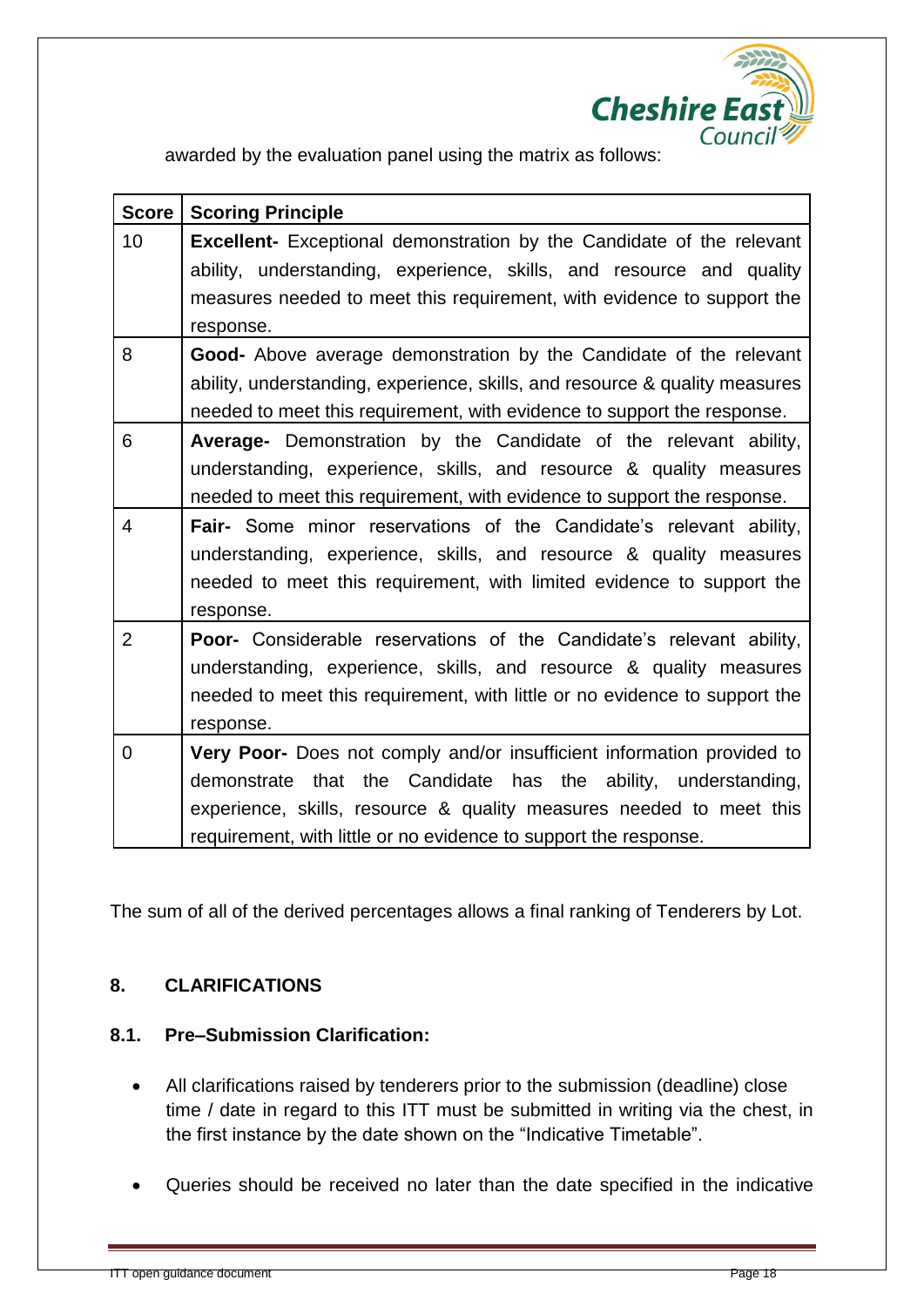

awarded by the evaluation panel using the matrix as follows:

| <b>Score</b>   | <b>Scoring Principle</b>                                                     |
|----------------|------------------------------------------------------------------------------|
| 10             | <b>Excellent-</b> Exceptional demonstration by the Candidate of the relevant |
|                | ability, understanding, experience, skills, and resource and quality         |
|                | measures needed to meet this requirement, with evidence to support the       |
|                | response.                                                                    |
| 8              | <b>Good-</b> Above average demonstration by the Candidate of the relevant    |
|                | ability, understanding, experience, skills, and resource & quality measures  |
|                | needed to meet this requirement, with evidence to support the response.      |
| 6              | Average- Demonstration by the Candidate of the relevant ability,             |
|                | understanding, experience, skills, and resource & quality measures           |
|                | needed to meet this requirement, with evidence to support the response.      |
| $\overline{4}$ | Fair- Some minor reservations of the Candidate's relevant ability,           |
|                | understanding, experience, skills, and resource & quality measures           |
|                | needed to meet this requirement, with limited evidence to support the        |
|                | response.                                                                    |
| $\overline{2}$ | <b>Poor-</b> Considerable reservations of the Candidate's relevant ability,  |
|                | understanding, experience, skills, and resource & quality measures           |
|                | needed to meet this requirement, with little or no evidence to support the   |
|                | response.                                                                    |
| 0              | Very Poor- Does not comply and/or insufficient information provided to       |
|                | demonstrate that the Candidate has the ability, understanding,               |
|                | experience, skills, resource & quality measures needed to meet this          |
|                | requirement, with little or no evidence to support the response.             |

The sum of all of the derived percentages allows a final ranking of Tenderers by Lot.

#### **8. CLARIFICATIONS**

#### **8.1. Pre–Submission Clarification:**

- All clarifications raised by tenderers prior to the submission (deadline) close time / date in regard to this ITT must be submitted in writing via the chest, in the first instance by the date shown on the "Indicative Timetable".
- Queries should be received no later than the date specified in the indicative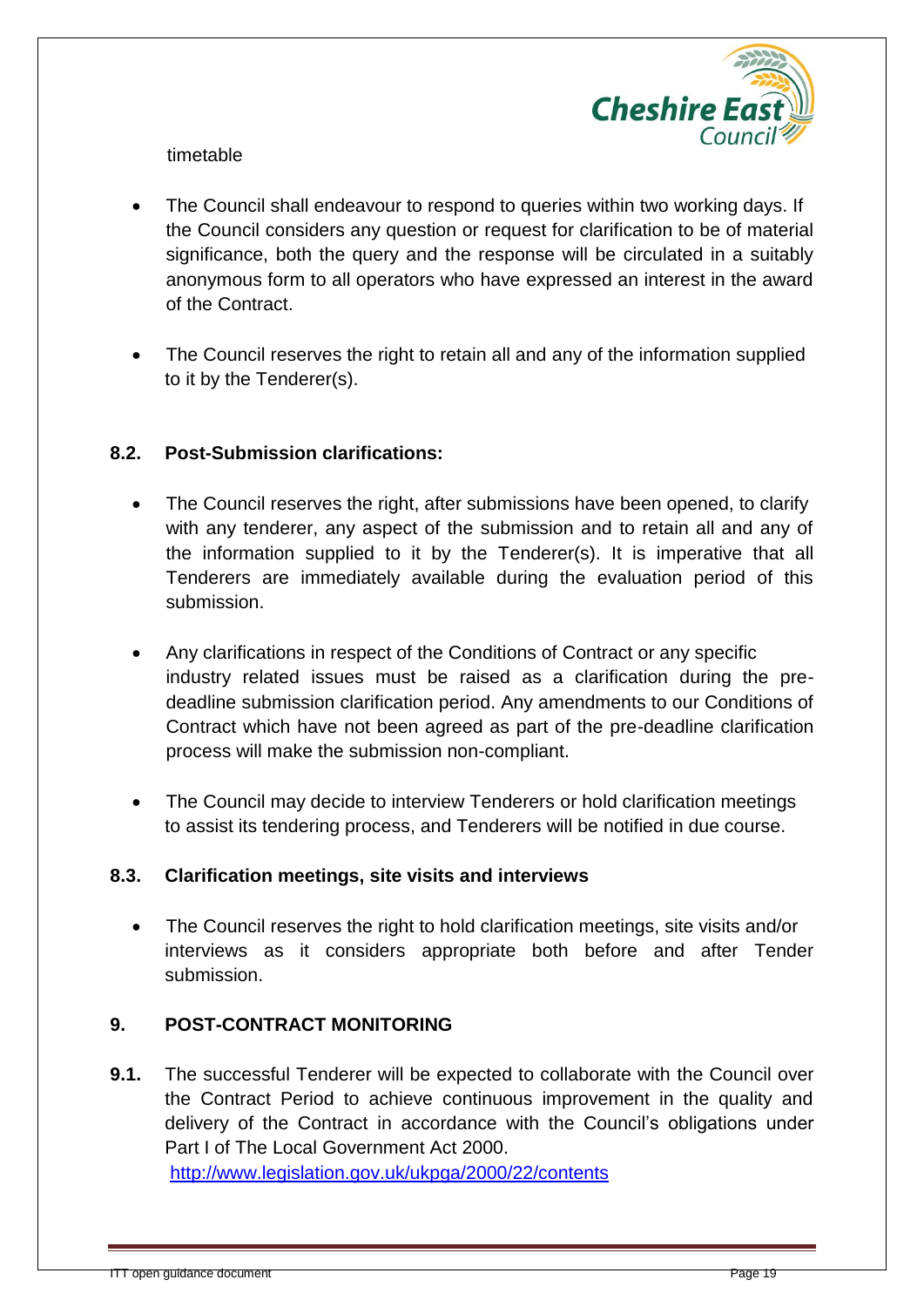

timetable

- The Council shall endeavour to respond to queries within two working days. If the Council considers any question or request for clarification to be of material significance, both the query and the response will be circulated in a suitably anonymous form to all operators who have expressed an interest in the award of the Contract.
- The Council reserves the right to retain all and any of the information supplied to it by the Tenderer(s).

#### **8.2. Post-Submission clarifications:**

- The Council reserves the right, after submissions have been opened, to clarify with any tenderer, any aspect of the submission and to retain all and any of the information supplied to it by the Tenderer(s). It is imperative that all Tenderers are immediately available during the evaluation period of this submission.
- Any clarifications in respect of the Conditions of Contract or any specific industry related issues must be raised as a clarification during the predeadline submission clarification period. Any amendments to our Conditions of Contract which have not been agreed as part of the pre-deadline clarification process will make the submission non-compliant.
- The Council may decide to interview Tenderers or hold clarification meetings to assist its tendering process, and Tenderers will be notified in due course.

#### **8.3. Clarification meetings, site visits and interviews**

 The Council reserves the right to hold clarification meetings, site visits and/or interviews as it considers appropriate both before and after Tender submission.

#### **9. POST-CONTRACT MONITORING**

**9.1.** The successful Tenderer will be expected to collaborate with the Council over the Contract Period to achieve continuous improvement in the quality and delivery of the Contract in accordance with the Council's obligations under Part I of The Local Government Act 2000. <http://www.legislation.gov.uk/ukpga/2000/22/contents>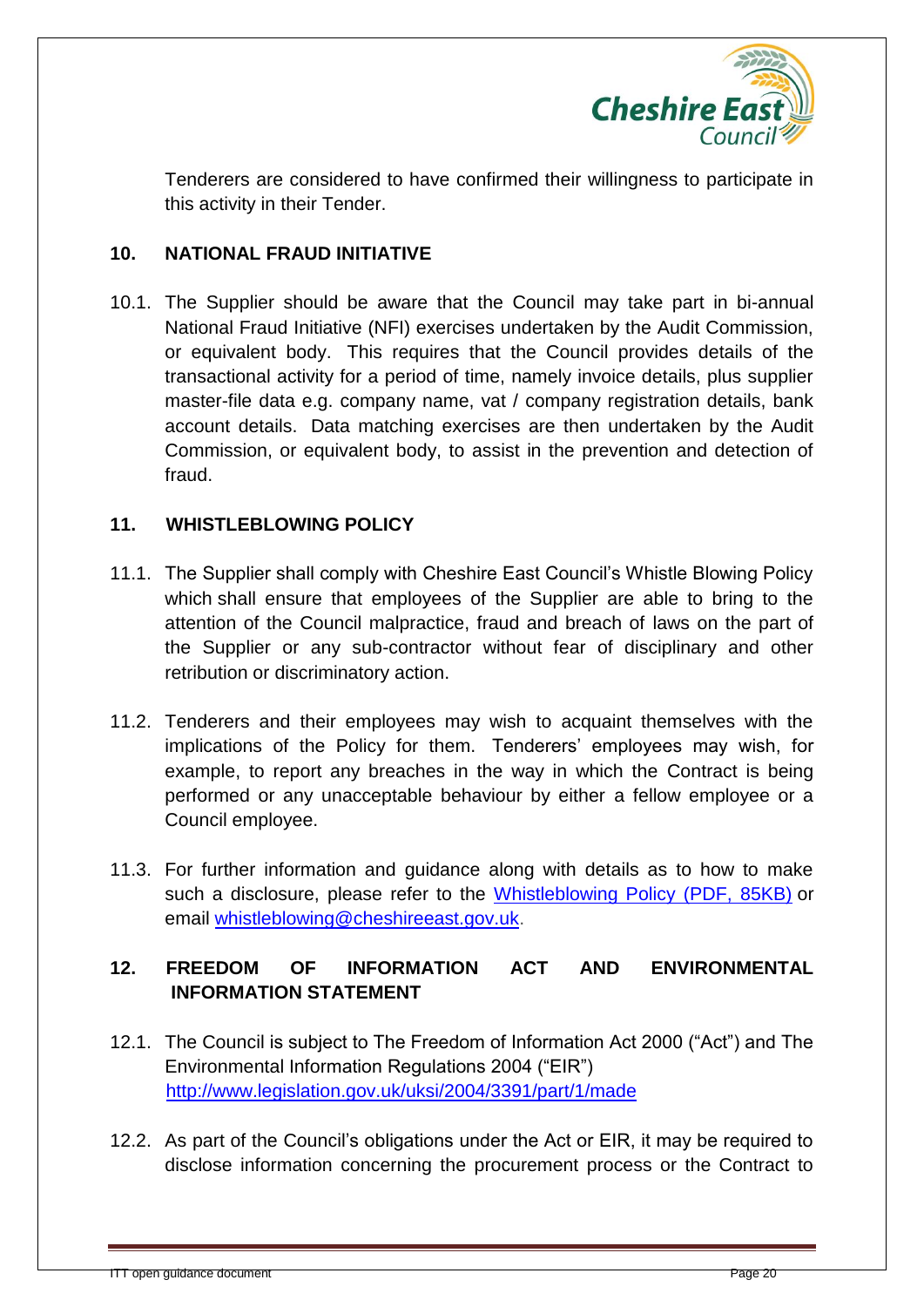

Tenderers are considered to have confirmed their willingness to participate in this activity in their Tender.

#### **10. NATIONAL FRAUD INITIATIVE**

10.1. The Supplier should be aware that the Council may take part in bi-annual National Fraud Initiative (NFI) exercises undertaken by the Audit Commission, or equivalent body. This requires that the Council provides details of the transactional activity for a period of time, namely invoice details, plus supplier master-file data e.g. company name, vat / company registration details, bank account details. Data matching exercises are then undertaken by the Audit Commission, or equivalent body, to assist in the prevention and detection of fraud.

#### **11. WHISTLEBLOWING POLICY**

- 11.1. The Supplier shall comply with Cheshire East Council's Whistle Blowing Policy which shall ensure that employees of the Supplier are able to bring to the attention of the Council malpractice, fraud and breach of laws on the part of the Supplier or any sub-contractor without fear of disciplinary and other retribution or discriminatory action.
- 11.2. Tenderers and their employees may wish to acquaint themselves with the implications of the Policy for them. Tenderers' employees may wish, for example, to report any breaches in the way in which the Contract is being performed or any unacceptable behaviour by either a fellow employee or a Council employee.
- 11.3. For further information and guidance along with details as to how to make such a disclosure, please refer to the [Whistleblowing Policy \(PDF, 85KB\)](file://ourcheshire/east/POLPERCPU/Audit%20-%20Internal/Whistleblowing%20Policy.pdf) or email [whistleblowing@cheshireeast.gov.uk.](mailto:whistleblowing@cheshireeast.gov.uk)

#### **12. FREEDOM OF INFORMATION ACT AND ENVIRONMENTAL INFORMATION STATEMENT**

- 12.1. The Council is subject to The Freedom of Information Act 2000 ("Act") and The Environmental Information Regulations 2004 ("EIR") <http://www.legislation.gov.uk/uksi/2004/3391/part/1/made>
- 12.2. As part of the Council's obligations under the Act or EIR, it may be required to disclose information concerning the procurement process or the Contract to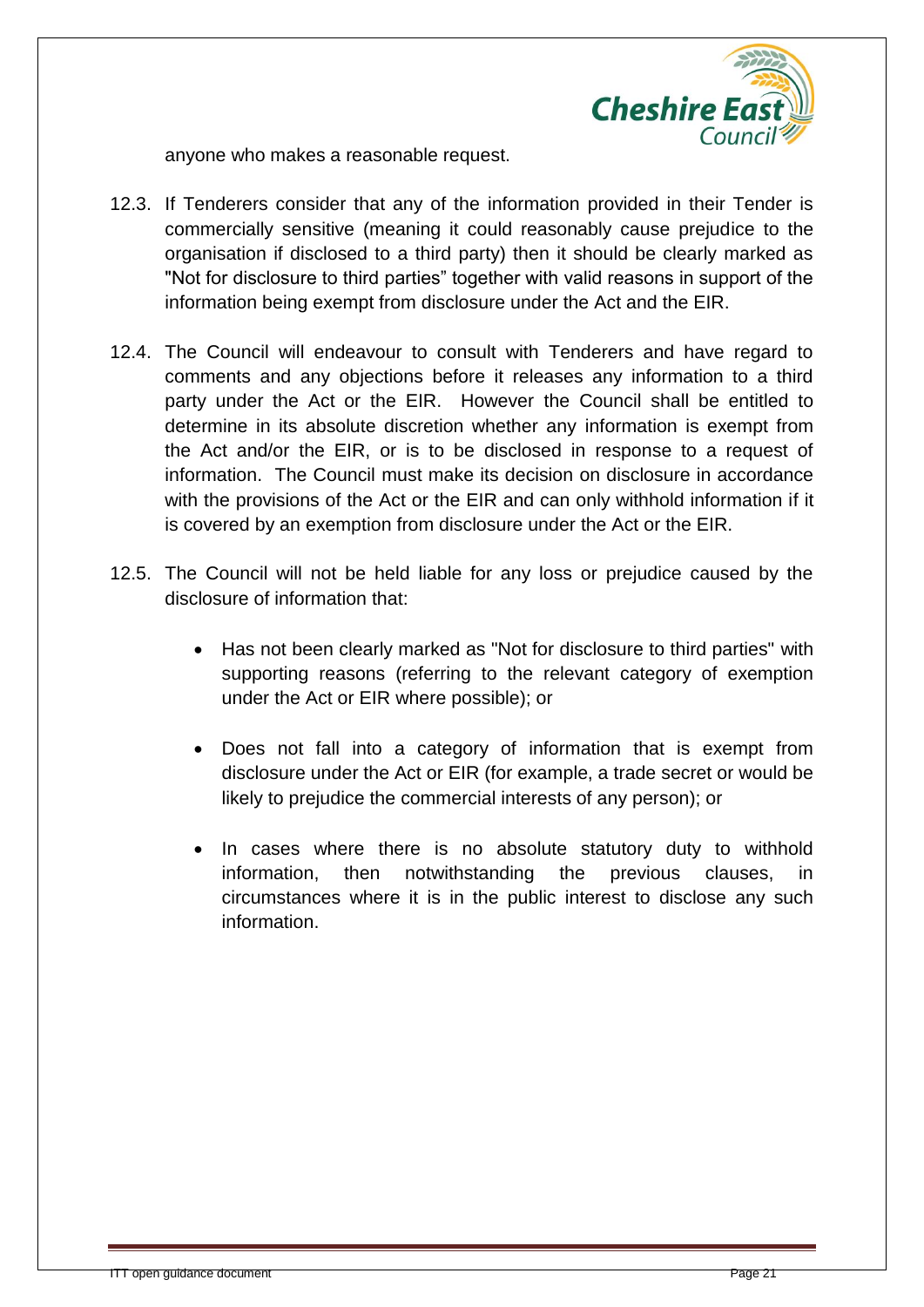

anyone who makes a reasonable request.

- 12.3. If Tenderers consider that any of the information provided in their Tender is commercially sensitive (meaning it could reasonably cause prejudice to the organisation if disclosed to a third party) then it should be clearly marked as "Not for disclosure to third parties" together with valid reasons in support of the information being exempt from disclosure under the Act and the EIR.
- 12.4. The Council will endeavour to consult with Tenderers and have regard to comments and any objections before it releases any information to a third party under the Act or the EIR. However the Council shall be entitled to determine in its absolute discretion whether any information is exempt from the Act and/or the EIR, or is to be disclosed in response to a request of information. The Council must make its decision on disclosure in accordance with the provisions of the Act or the EIR and can only withhold information if it is covered by an exemption from disclosure under the Act or the EIR.
- 12.5. The Council will not be held liable for any loss or prejudice caused by the disclosure of information that:
	- Has not been clearly marked as "Not for disclosure to third parties" with supporting reasons (referring to the relevant category of exemption under the Act or EIR where possible); or
	- Does not fall into a category of information that is exempt from disclosure under the Act or EIR (for example, a trade secret or would be likely to prejudice the commercial interests of any person); or
	- In cases where there is no absolute statutory duty to withhold information, then notwithstanding the previous clauses, in circumstances where it is in the public interest to disclose any such information.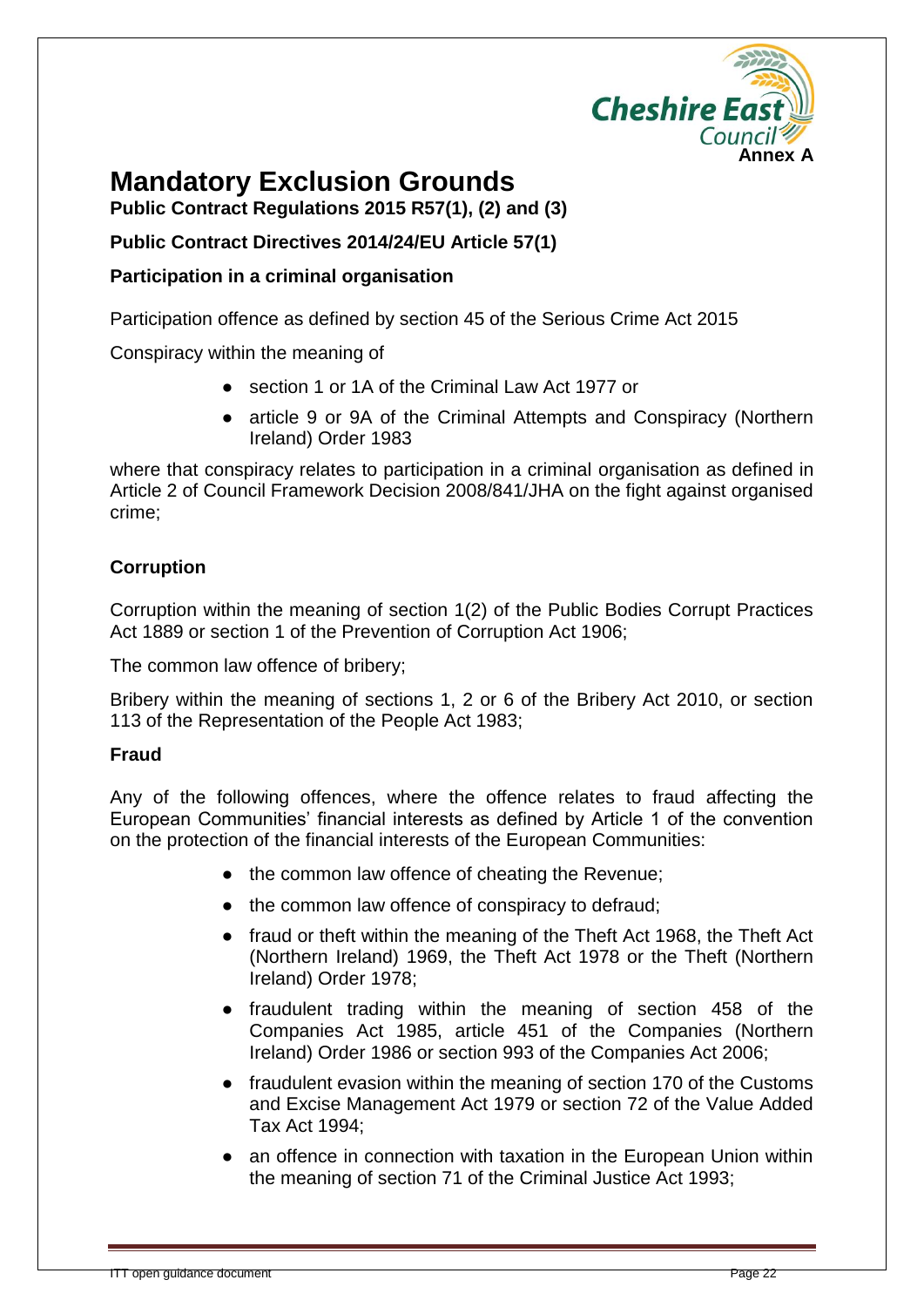

## **Mandatory Exclusion Grounds**

**Public Contract Regulations 2015 R57(1), (2) and (3)**

**Public Contract Directives 2014/24/EU Article 57(1)**

#### **Participation in a criminal organisation**

Participation offence as defined by section 45 of the Serious Crime Act 2015

Conspiracy within the meaning of

- section 1 or 1A of the Criminal Law Act 1977 or
- article 9 or 9A of the Criminal Attempts and Conspiracy (Northern Ireland) Order 1983

where that conspiracy relates to participation in a criminal organisation as defined in Article 2 of Council Framework Decision 2008/841/JHA on the fight against organised crime;

#### **Corruption**

Corruption within the meaning of section 1(2) of the Public Bodies Corrupt Practices Act 1889 or section 1 of the Prevention of Corruption Act 1906;

The common law offence of bribery;

Bribery within the meaning of sections 1, 2 or 6 of the Bribery Act 2010, or section 113 of the Representation of the People Act 1983;

#### **Fraud**

Any of the following offences, where the offence relates to fraud affecting the European Communities' financial interests as defined by Article 1 of the convention on the protection of the financial interests of the European Communities:

- the common law offence of cheating the Revenue;
- the common law offence of conspiracy to defraud;
- fraud or theft within the meaning of the Theft Act 1968, the Theft Act (Northern Ireland) 1969, the Theft Act 1978 or the Theft (Northern Ireland) Order 1978;
- fraudulent trading within the meaning of section 458 of the Companies Act 1985, article 451 of the Companies (Northern Ireland) Order 1986 or section 993 of the Companies Act 2006;
- fraudulent evasion within the meaning of section 170 of the Customs and Excise Management Act 1979 or section 72 of the Value Added Tax Act 1994;
- an offence in connection with taxation in the European Union within the meaning of section 71 of the Criminal Justice Act 1993;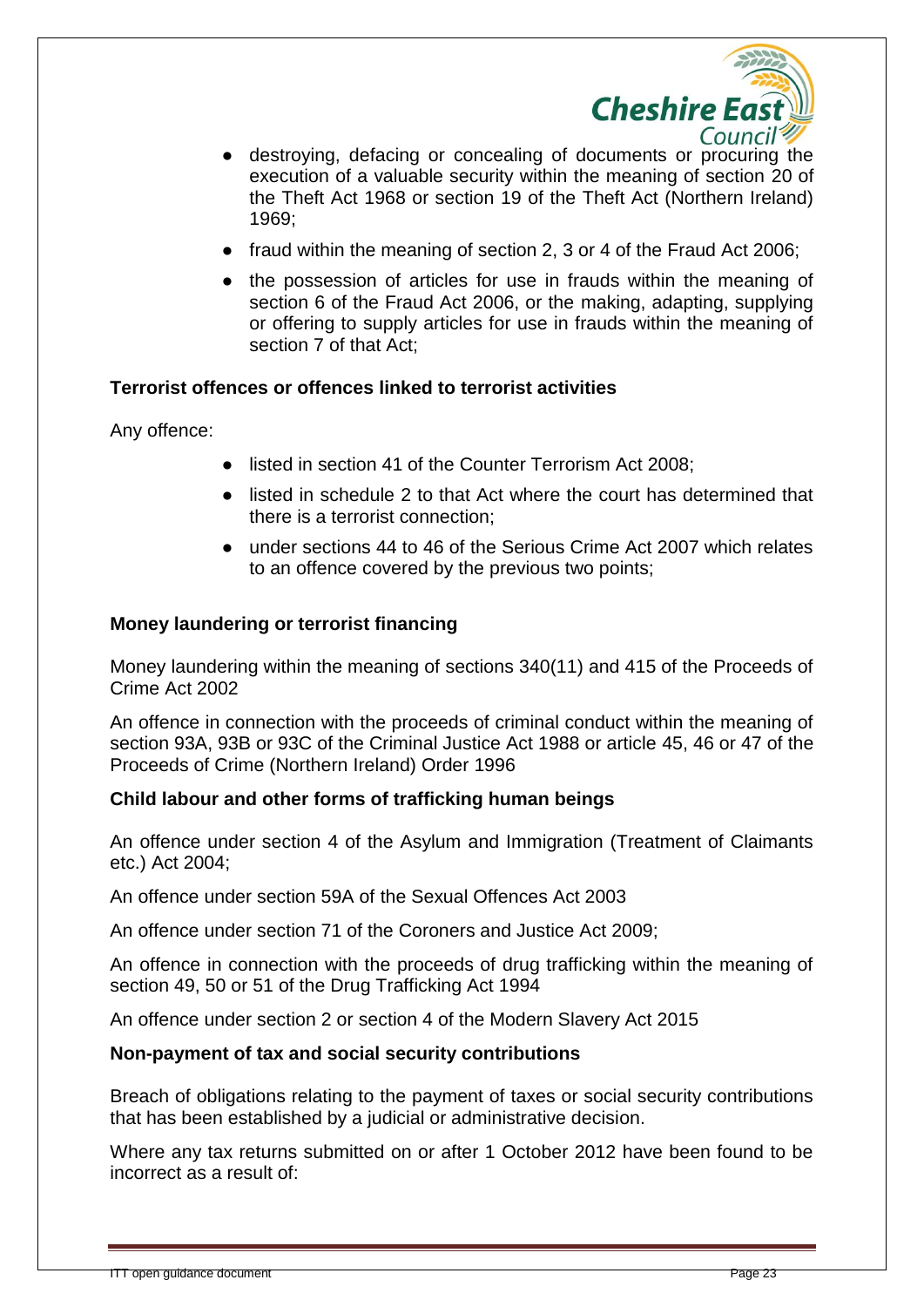

- destroying, defacing or concealing of documents or procuring the execution of a valuable security within the meaning of section 20 of the Theft Act 1968 or section 19 of the Theft Act (Northern Ireland) 1969;
- fraud within the meaning of section 2, 3 or 4 of the Fraud Act 2006;
- the possession of articles for use in frauds within the meaning of section 6 of the Fraud Act 2006, or the making, adapting, supplying or offering to supply articles for use in frauds within the meaning of section 7 of that Act;

#### **Terrorist offences or offences linked to terrorist activities**

Any offence:

- listed in section 41 of the Counter Terrorism Act 2008;
- listed in schedule 2 to that Act where the court has determined that there is a terrorist connection;
- under sections 44 to 46 of the Serious Crime Act 2007 which relates to an offence covered by the previous two points;

#### **Money laundering or terrorist financing**

Money laundering within the meaning of sections 340(11) and 415 of the Proceeds of Crime Act 2002

An offence in connection with the proceeds of criminal conduct within the meaning of section 93A, 93B or 93C of the Criminal Justice Act 1988 or article 45, 46 or 47 of the Proceeds of Crime (Northern Ireland) Order 1996

#### **Child labour and other forms of trafficking human beings**

An offence under section 4 of the Asylum and Immigration (Treatment of Claimants etc.) Act 2004;

An offence under section 59A of the Sexual Offences Act 2003

An offence under section 71 of the Coroners and Justice Act 2009;

An offence in connection with the proceeds of drug trafficking within the meaning of section 49, 50 or 51 of the Drug Trafficking Act 1994

An offence under section 2 or section 4 of the Modern Slavery Act 2015

#### **Non-payment of tax and social security contributions**

Breach of obligations relating to the payment of taxes or social security contributions that has been established by a judicial or administrative decision.

Where any tax returns submitted on or after 1 October 2012 have been found to be incorrect as a result of: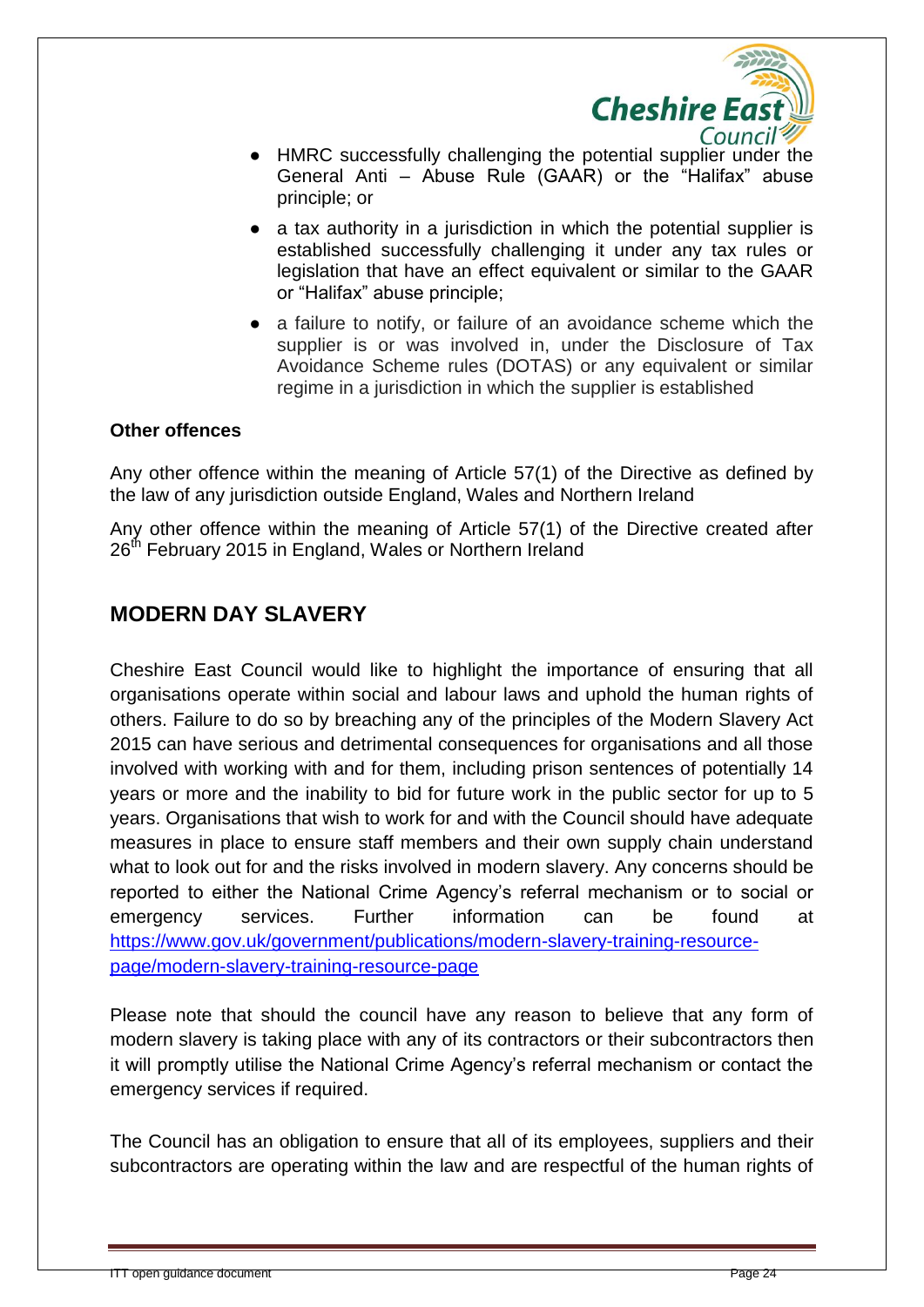

- HMRC successfully challenging the potential supplier under the General Anti – Abuse Rule (GAAR) or the "Halifax" abuse principle; or
- a tax authority in a jurisdiction in which the potential supplier is established successfully challenging it under any tax rules or legislation that have an effect equivalent or similar to the GAAR or "Halifax" abuse principle;
- a failure to notify, or failure of an avoidance scheme which the supplier is or was involved in, under the Disclosure of Tax Avoidance Scheme rules (DOTAS) or any equivalent or similar regime in a jurisdiction in which the supplier is established

#### **Other offences**

Any other offence within the meaning of Article 57(1) of the Directive as defined by the law of any jurisdiction outside England, Wales and Northern Ireland

Any other offence within the meaning of Article 57(1) of the Directive created after 26<sup>th</sup> February 2015 in England, Wales or Northern Ireland

#### **MODERN DAY SLAVERY**

Cheshire East Council would like to highlight the importance of ensuring that all organisations operate within social and labour laws and uphold the human rights of others. Failure to do so by breaching any of the principles of the Modern Slavery Act 2015 can have serious and detrimental consequences for organisations and all those involved with working with and for them, including prison sentences of potentially 14 years or more and the inability to bid for future work in the public sector for up to 5 years. Organisations that wish to work for and with the Council should have adequate measures in place to ensure staff members and their own supply chain understand what to look out for and the risks involved in modern slavery. Any concerns should be reported to either the National Crime Agency's referral mechanism or to social or emergency services. Further information can be found at [https://www.gov.uk/government/publications/modern-slavery-training-resource](https://www.gov.uk/government/publications/modern-slavery-training-resource-page/modern-slavery-training-resource-page)[page/modern-slavery-training-resource-page](https://www.gov.uk/government/publications/modern-slavery-training-resource-page/modern-slavery-training-resource-page)

Please note that should the council have any reason to believe that any form of modern slavery is taking place with any of its contractors or their subcontractors then it will promptly utilise the National Crime Agency's referral mechanism or contact the emergency services if required.

The Council has an obligation to ensure that all of its employees, suppliers and their subcontractors are operating within the law and are respectful of the human rights of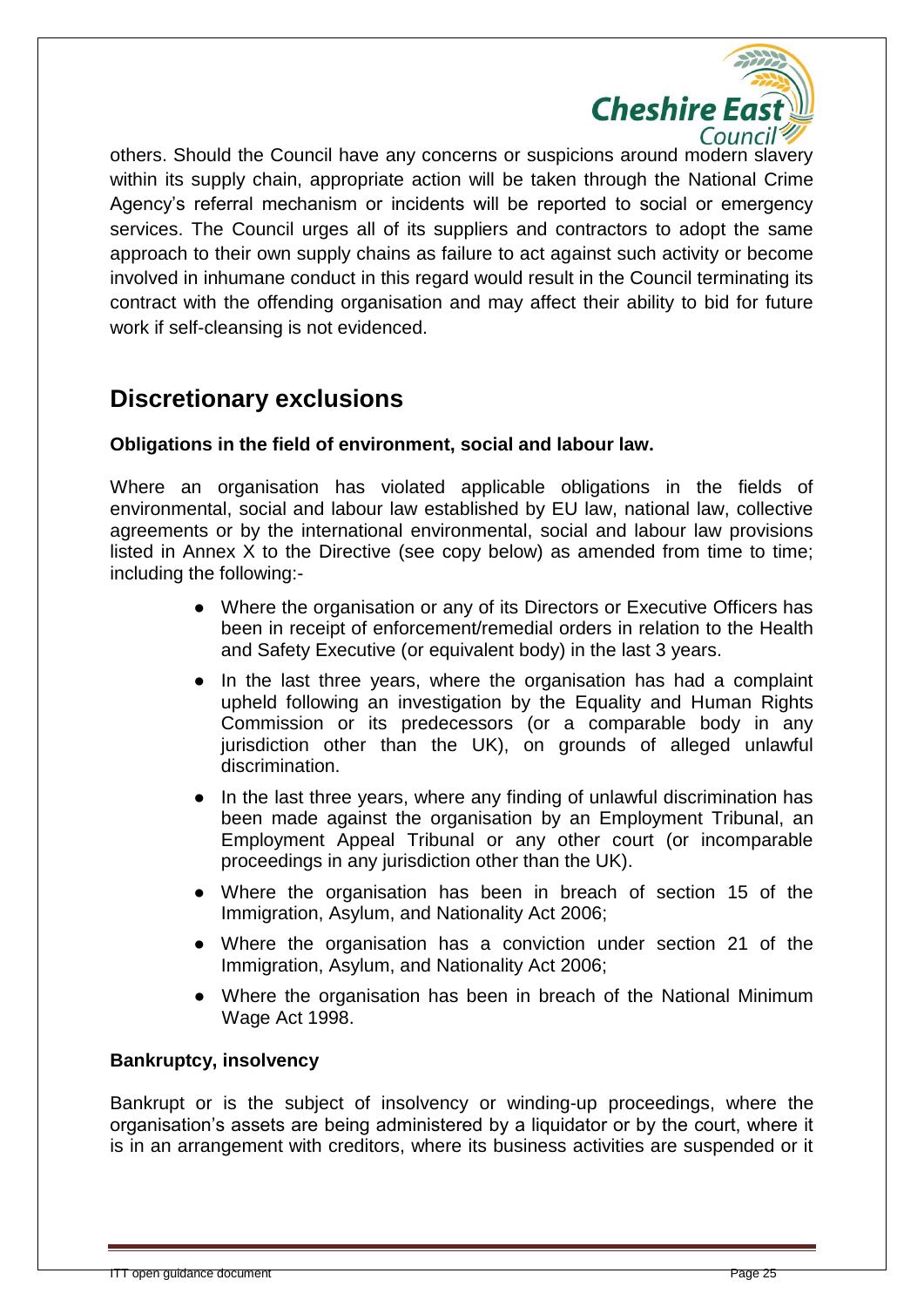

others. Should the Council have any concerns or suspicions around modern slavery within its supply chain, appropriate action will be taken through the National Crime Agency's referral mechanism or incidents will be reported to social or emergency services. The Council urges all of its suppliers and contractors to adopt the same approach to their own supply chains as failure to act against such activity or become involved in inhumane conduct in this regard would result in the Council terminating its contract with the offending organisation and may affect their ability to bid for future work if self-cleansing is not evidenced.

### **Discretionary exclusions**

#### **Obligations in the field of environment, social and labour law.**

Where an organisation has violated applicable obligations in the fields of environmental, social and labour law established by EU law, national law, collective agreements or by the international environmental, social and labour law provisions listed in Annex X to the Directive (see copy below) as amended from time to time; including the following:-

- Where the organisation or any of its Directors or Executive Officers has been in receipt of enforcement/remedial orders in relation to the Health and Safety Executive (or equivalent body) in the last 3 years.
- In the last three years, where the organisation has had a complaint upheld following an investigation by the Equality and Human Rights Commission or its predecessors (or a comparable body in any jurisdiction other than the UK), on grounds of alleged unlawful discrimination.
- In the last three years, where any finding of unlawful discrimination has been made against the organisation by an Employment Tribunal, an Employment Appeal Tribunal or any other court (or incomparable proceedings in any jurisdiction other than the UK).
- Where the organisation has been in breach of section 15 of the Immigration, Asylum, and Nationality Act 2006;
- Where the organisation has a conviction under section 21 of the Immigration, Asylum, and Nationality Act 2006;
- Where the organisation has been in breach of the National Minimum Wage Act 1998.

#### **Bankruptcy, insolvency**

Bankrupt or is the subject of insolvency or winding-up proceedings, where the organisation's assets are being administered by a liquidator or by the court, where it is in an arrangement with creditors, where its business activities are suspended or it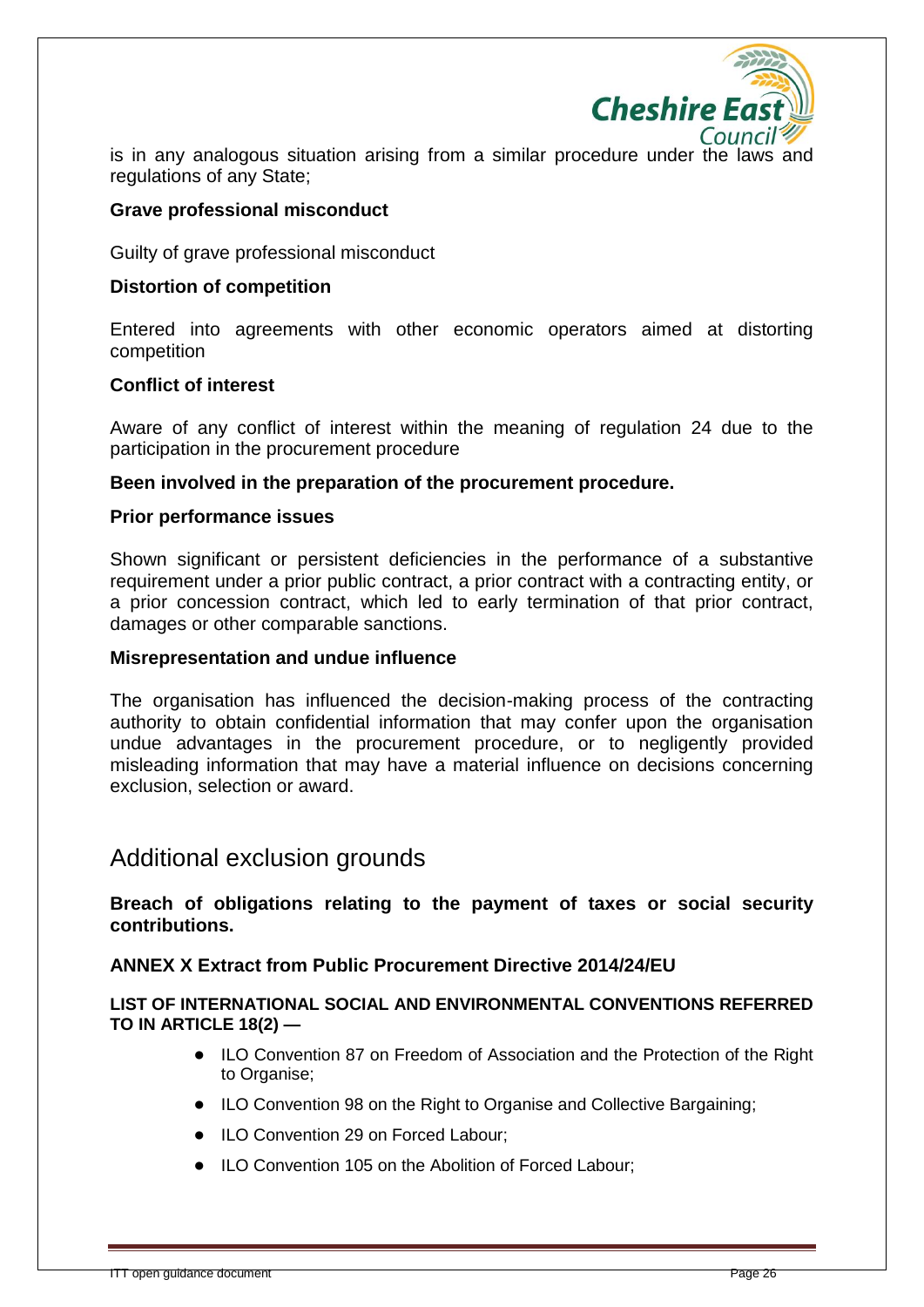

is in any analogous situation arising from a similar procedure under the laws and regulations of any State;

#### **Grave professional misconduct**

Guilty of grave professional misconduct

#### **Distortion of competition**

Entered into agreements with other economic operators aimed at distorting competition

#### **Conflict of interest**

Aware of any conflict of interest within the meaning of regulation 24 due to the participation in the procurement procedure

#### **Been involved in the preparation of the procurement procedure.**

#### **Prior performance issues**

Shown significant or persistent deficiencies in the performance of a substantive requirement under a prior public contract, a prior contract with a contracting entity, or a prior concession contract, which led to early termination of that prior contract, damages or other comparable sanctions.

#### **Misrepresentation and undue influence**

The organisation has influenced the decision-making process of the contracting authority to obtain confidential information that may confer upon the organisation undue advantages in the procurement procedure, or to negligently provided misleading information that may have a material influence on decisions concerning exclusion, selection or award.

### Additional exclusion grounds

#### **Breach of obligations relating to the payment of taxes or social security contributions.**

#### **ANNEX X Extract from Public Procurement Directive 2014/24/EU**

#### **LIST OF INTERNATIONAL SOCIAL AND ENVIRONMENTAL CONVENTIONS REFERRED TO IN ARTICLE 18(2) —**

- ILO Convention 87 on Freedom of Association and the Protection of the Right to Organise;
- ILO Convention 98 on the Right to Organise and Collective Bargaining;
- ILO Convention 29 on Forced Labour;
- ILO Convention 105 on the Abolition of Forced Labour;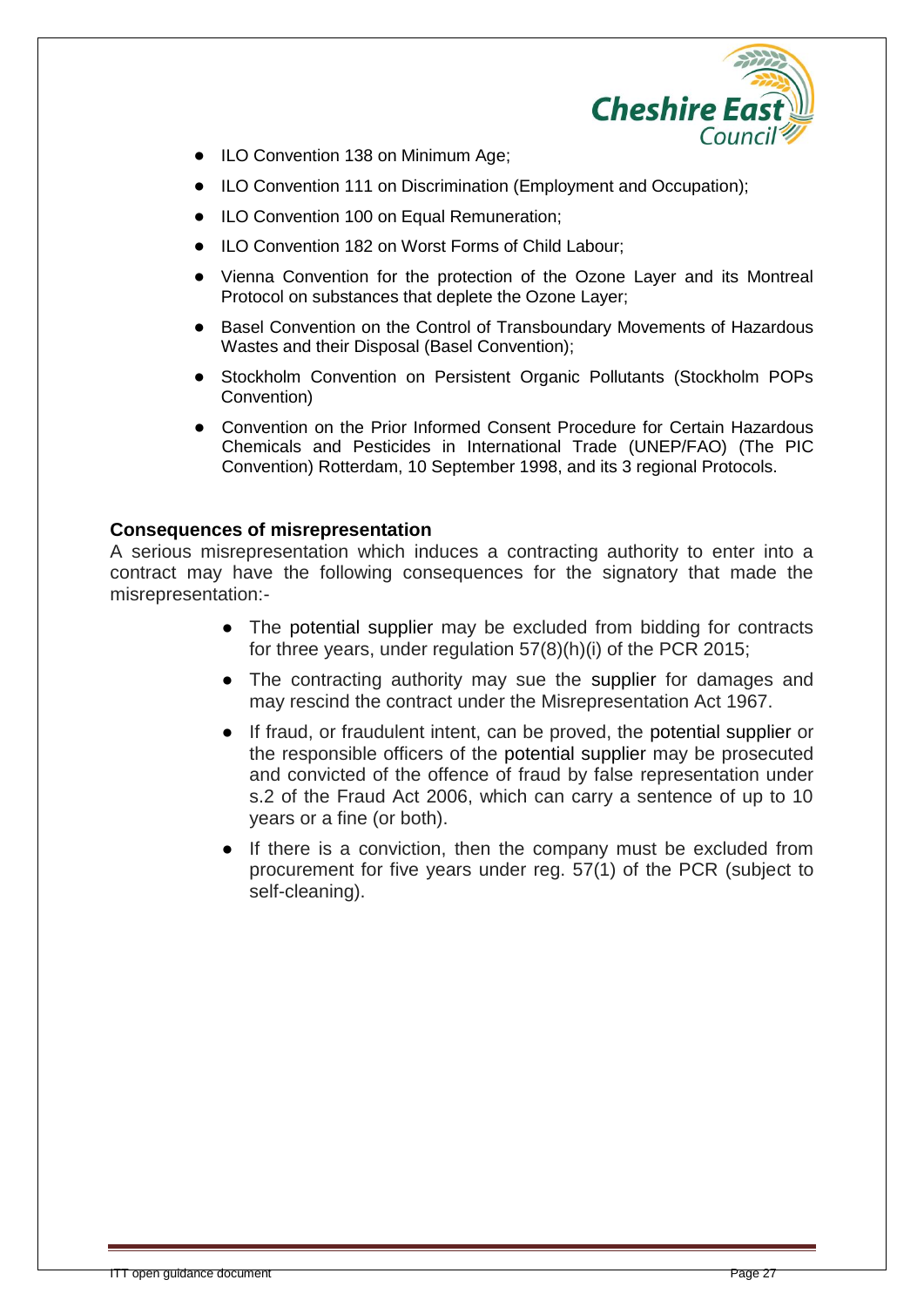

- **ILO Convention 138 on Minimum Age;**
- ILO Convention 111 on Discrimination (Employment and Occupation);
- ILO Convention 100 on Equal Remuneration;
- ILO Convention 182 on Worst Forms of Child Labour;
- Vienna Convention for the protection of the Ozone Layer and its Montreal Protocol on substances that deplete the Ozone Layer;
- Basel Convention on the Control of Transboundary Movements of Hazardous Wastes and their Disposal (Basel Convention);
- Stockholm Convention on Persistent Organic Pollutants (Stockholm POPs Convention)
- Convention on the Prior Informed Consent Procedure for Certain Hazardous Chemicals and Pesticides in International Trade (UNEP/FAO) (The PIC Convention) Rotterdam, 10 September 1998, and its 3 regional Protocols.

#### **Consequences of misrepresentation**

A serious misrepresentation which induces a contracting authority to enter into a contract may have the following consequences for the signatory that made the misrepresentation:-

- The potential supplier may be excluded from bidding for contracts for three years, under regulation 57(8)(h)(i) of the PCR 2015;
- The contracting authority may sue the supplier for damages and may rescind the contract under the Misrepresentation Act 1967.
- If fraud, or fraudulent intent, can be proved, the potential supplier or the responsible officers of the potential supplier may be prosecuted and convicted of the offence of fraud by false representation under s.2 of the Fraud Act 2006, which can carry a sentence of up to 10 years or a fine (or both).
- If there is a conviction, then the company must be excluded from procurement for five years under reg. 57(1) of the PCR (subject to self-cleaning).